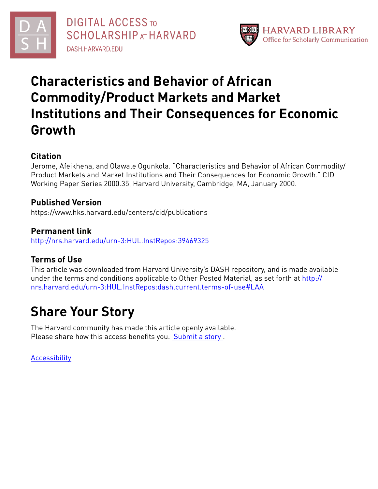



# **Characteristics and Behavior of African Commodity/Product Markets and Market Institutions and Their Consequences for Economic Growth**

# **Citation**

Jerome, Afeikhena, and Olawale Ogunkola. "Characteristics and Behavior of African Commodity/ Product Markets and Market Institutions and Their Consequences for Economic Growth." CID Working Paper Series 2000.35, Harvard University, Cambridge, MA, January 2000.

# **Published Version**

https://www.hks.harvard.edu/centers/cid/publications

**Permanent link** <http://nrs.harvard.edu/urn-3:HUL.InstRepos:39469325>

# **Terms of Use**

This article was downloaded from Harvard University's DASH repository, and is made available under the terms and conditions applicable to Other Posted Material, as set forth at [http://](http://nrs.harvard.edu/urn-3:HUL.InstRepos:dash.current.terms-of-use#LAA) [nrs.harvard.edu/urn-3:HUL.InstRepos:dash.current.terms-of-use#LAA](http://nrs.harvard.edu/urn-3:HUL.InstRepos:dash.current.terms-of-use#LAA)

# **Share Your Story**

The Harvard community has made this article openly available. Please share how this access benefits you. [Submit](http://osc.hul.harvard.edu/dash/open-access-feedback?handle=&title=Characteristics%20and%20Behavior%20of%20African%20Commodity/Product%20Markets%20and%20Market%20Institutions%20and%20Their%20Consequences%20for%20Economic%20Growth&community=1/3345933&collection=1/37363064&owningCollection1/37363064&harvardAuthors=186116c25627e04a85229d8821f7671b&department) a story .

[Accessibility](https://dash.harvard.edu/pages/accessibility)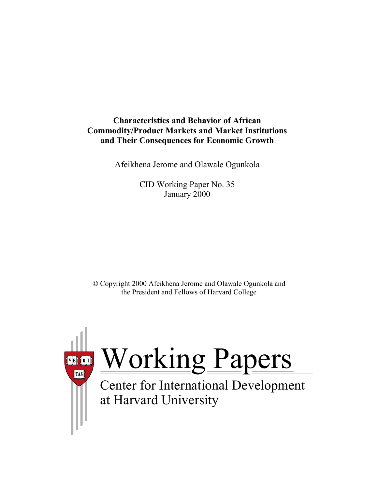# **Characteristics and Behavior of African Commodity/Product Markets and Market Institutions and Their Consequences for Economic Growth**

Afeikhena Jerome and Olawale Ogunkola

CID Working Paper No. 35 January 2000

 Copyright 2000 Afeikhena Jerome and Olawale Ogunkola and the President and Fellows of Harvard College

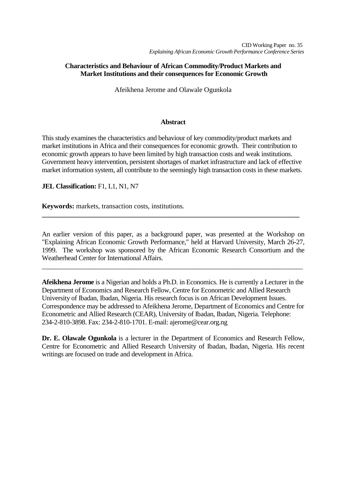# **Characteristics and Behaviour of African Commodity/Product Markets and Market Institutions and their consequences for Economic Growth**

Afeikhena Jerome and Olawale Ogunkola

# **Abstract**

This study examines the characteristics and behaviour of key commodity/product markets and market institutions in Africa and their consequences for economic growth. Their contribution to economic growth appears to have been limited by high transaction costs and weak institutions. Government heavy intervention, persistent shortages of market infrastructure and lack of effective market information system, all contribute to the seemingly high transaction costs in these markets.

**JEL Classification:** F1, L1, N1, N7

**Keywords:** markets, transaction costs, institutions*.*

An earlier version of this paper, as a background paper, was presented at the Workshop on "Explaining African Economic Growth Performance," held at Harvard University, March 26-27, 1999. The workshop was sponsored by the African Economic Research Consortium and the Weatherhead Center for International Affairs.

\_\_\_\_\_\_\_\_\_\_\_\_\_\_\_\_\_\_\_\_\_\_\_\_\_\_\_\_\_\_\_\_\_\_\_\_\_\_\_\_\_\_\_\_\_\_\_\_\_\_\_\_\_\_\_\_\_\_\_\_\_\_\_\_\_\_\_\_\_\_\_\_\_\_\_\_\_\_

**\_\_\_\_\_\_\_\_\_\_\_\_\_\_\_\_\_\_\_\_\_\_\_\_\_\_\_\_\_\_\_\_\_\_\_\_\_\_\_\_\_\_\_\_\_\_\_\_\_\_\_\_\_\_\_\_\_\_\_\_\_\_\_\_\_\_\_\_\_\_\_\_\_\_\_\_\_**

**Afeikhena Jerome** is a Nigerian and holds a Ph.D. in Economics. He is currently a Lecturer in the Department of Economics and Research Fellow, Centre for Econometric and Allied Research University of Ibadan, Ibadan, Nigeria. His research focus is on African Development Issues. Correspondence may be addressed to Afeikhena Jerome, Department of Economics and Centre for Econometric and Allied Research (CEAR), University of Ibadan, Ibadan, Nigeria. Telephone: 234-2-810-3898. Fax: 234-2-810-1701. E-mail: ajerome@cear.org.ng

**Dr. E. Olawale Ogunkola** is a lecturer in the Department of Economics and Research Fellow, Centre for Econometric and Allied Research University of Ibadan, Ibadan, Nigeria. His recent writings are focused on trade and development in Africa.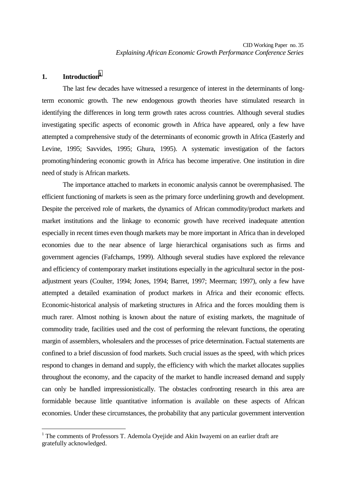# **1. Introduction1**

 $\overline{a}$ 

The last few decades have witnessed a resurgence of interest in the determinants of longterm economic growth. The new endogenous growth theories have stimulated research in identifying the differences in long term growth rates across countries. Although several studies investigating specific aspects of economic growth in Africa have appeared, only a few have attempted a comprehensive study of the determinants of economic growth in Africa (Easterly and Levine, 1995; Savvides, 1995; Ghura, 1995). A systematic investigation of the factors promoting/hindering economic growth in Africa has become imperative. One institution in dire need of study is African markets.

The importance attached to markets in economic analysis cannot be overemphasised. The efficient functioning of markets is seen as the primary force underlining growth and development. Despite the perceived role of markets, the dynamics of African commodity/product markets and market institutions and the linkage to economic growth have received inadequate attention especially in recent times even though markets may be more important in Africa than in developed economies due to the near absence of large hierarchical organisations such as firms and government agencies (Fafchamps, 1999). Although several studies have explored the relevance and efficiency of contemporary market institutions especially in the agricultural sector in the postadjustment years (Coulter, 1994; Jones, 1994; Barret, 1997; Meerman; 1997), only a few have attempted a detailed examination of product markets in Africa and their economic effects. Economic-historical analysis of marketing structures in Africa and the forces moulding them is much rarer. Almost nothing is known about the nature of existing markets, the magnitude of commodity trade, facilities used and the cost of performing the relevant functions, the operating margin of assemblers, wholesalers and the processes of price determination. Factual statements are confined to a brief discussion of food markets. Such crucial issues as the speed, with which prices respond to changes in demand and supply, the efficiency with which the market allocates supplies throughout the economy, and the capacity of the market to handle increased demand and supply can only be handled impressionistically. The obstacles confronting research in this area are formidable because little quantitative information is available on these aspects of African economies. Under these circumstances, the probability that any particular government intervention

<sup>&</sup>lt;sup>1</sup> The comments of Professors T. Ademola Oyejide and Akin Iwayemi on an earlier draft are gratefully acknowledged.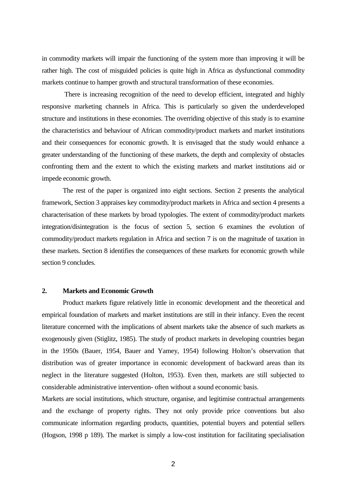in commodity markets will impair the functioning of the system more than improving it will be rather high. The cost of misguided policies is quite high in Africa as dysfunctional commodity markets continue to hamper growth and structural transformation of these economies.

 There is increasing recognition of the need to develop efficient, integrated and highly responsive marketing channels in Africa. This is particularly so given the underdeveloped structure and institutions in these economies. The overriding objective of this study is to examine the characteristics and behaviour of African commodity/product markets and market institutions and their consequences for economic growth. It is envisaged that the study would enhance a greater understanding of the functioning of these markets, the depth and complexity of obstacles confronting them and the extent to which the existing markets and market institutions aid or impede economic growth.

The rest of the paper is organized into eight sections. Section 2 presents the analytical framework, Section 3 appraises key commodity/product markets in Africa and section 4 presents a characterisation of these markets by broad typologies. The extent of commodity/product markets integration/disintegration is the focus of section 5, section 6 examines the evolution of commodity/product markets regulation in Africa and section 7 is on the magnitude of taxation in these markets. Section 8 identifies the consequences of these markets for economic growth while section 9 concludes.

# **2. Markets and Economic Growth**

Product markets figure relatively little in economic development and the theoretical and empirical foundation of markets and market institutions are still in their infancy. Even the recent literature concerned with the implications of absent markets take the absence of such markets as exogenously given (Stiglitz, 1985). The study of product markets in developing countries began in the 1950s (Bauer, 1954, Bauer and Yamey, 1954) following Holton's observation that distribution was of greater importance in economic development of backward areas than its neglect in the literature suggested (Holton, 1953). Even then, markets are still subjected to considerable administrative intervention- often without a sound economic basis.

Markets are social institutions, which structure, organise, and legitimise contractual arrangements and the exchange of property rights. They not only provide price conventions but also communicate information regarding products, quantities, potential buyers and potential sellers (Hogson, 1998 p 189). The market is simply a low-cost institution for facilitating specialisation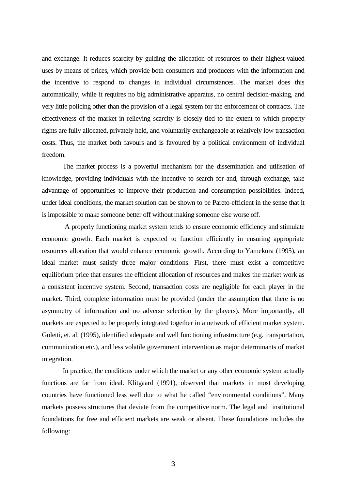and exchange. It reduces scarcity by guiding the allocation of resources to their highest-valued uses by means of prices, which provide both consumers and producers with the information and the incentive to respond to changes in individual circumstances. The market does this automatically, while it requires no big administrative apparatus, no central decision-making, and very little policing other than the provision of a legal system for the enforcement of contracts. The effectiveness of the market in relieving scarcity is closely tied to the extent to which property rights are fully allocated, privately held, and voluntarily exchangeable at relatively low transaction costs. Thus, the market both favours and is favoured by a political environment of individual freedom.

The market process is a powerful mechanism for the dissemination and utilisation of knowledge, providing individuals with the incentive to search for and, through exchange, take advantage of opportunities to improve their production and consumption possibilities. Indeed, under ideal conditions, the market solution can be shown to be Pareto-efficient in the sense that it is impossible to make someone better off without making someone else worse off.

 A properly functioning market system tends to ensure economic efficiency and stimulate economic growth. Each market is expected to function efficiently in ensuring appropriate resources allocation that would enhance economic growth. According to Yamekura (1995), an ideal market must satisfy three major conditions. First, there must exist a competitive equilibrium price that ensures the efficient allocation of resources and makes the market work as a consistent incentive system. Second, transaction costs are negligible for each player in the market. Third, complete information must be provided (under the assumption that there is no asymmetry of information and no adverse selection by the players). More importantly, all markets are expected to be properly integrated together in a network of efficient market system. Goletti, et. al. (1995), identified adequate and well functioning infrastructure (e.g. transportation, communication etc.), and less volatile government intervention as major determinants of market integration.

In practice, the conditions under which the market or any other economic system actually functions are far from ideal. Klitgaard (1991), observed that markets in most developing countries have functioned less well due to what he called "environmental conditions". Many markets possess structures that deviate from the competitive norm. The legal and institutional foundations for free and efficient markets are weak or absent. These foundations includes the following: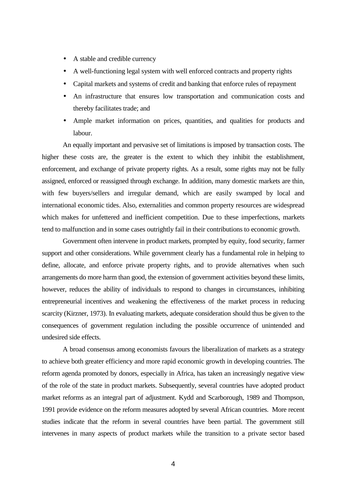- A stable and credible currency
- A well-functioning legal system with well enforced contracts and property rights
- Capital markets and systems of credit and banking that enforce rules of repayment
- An infrastructure that ensures low transportation and communication costs and thereby facilitates trade; and
- Ample market information on prices, quantities, and qualities for products and labour.

An equally important and pervasive set of limitations is imposed by transaction costs. The higher these costs are, the greater is the extent to which they inhibit the establishment, enforcement, and exchange of private property rights. As a result, some rights may not be fully assigned, enforced or reassigned through exchange. In addition, many domestic markets are thin, with few buyers/sellers and irregular demand, which are easily swamped by local and international economic tides. Also, externalities and common property resources are widespread which makes for unfettered and inefficient competition. Due to these imperfections, markets tend to malfunction and in some cases outrightly fail in their contributions to economic growth.

Government often intervene in product markets, prompted by equity, food security, farmer support and other considerations. While government clearly has a fundamental role in helping to define, allocate, and enforce private property rights, and to provide alternatives when such arrangements do more harm than good, the extension of government activities beyond these limits, however, reduces the ability of individuals to respond to changes in circumstances, inhibiting entrepreneurial incentives and weakening the effectiveness of the market process in reducing scarcity (Kirzner, 1973). In evaluating markets, adequate consideration should thus be given to the consequences of government regulation including the possible occurrence of unintended and undesired side effects.

 A broad consensus among economists favours the liberalization of markets as a strategy to achieve both greater efficiency and more rapid economic growth in developing countries. The reform agenda promoted by donors, especially in Africa, has taken an increasingly negative view of the role of the state in product markets. Subsequently, several countries have adopted product market reforms as an integral part of adjustment. Kydd and Scarborough, 1989 and Thompson, 1991 provide evidence on the reform measures adopted by several African countries. More recent studies indicate that the reform in several countries have been partial. The government still intervenes in many aspects of product markets while the transition to a private sector based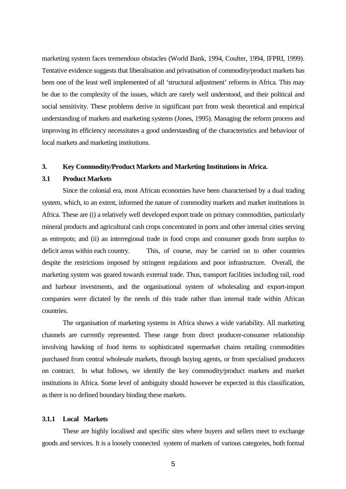marketing system faces tremendous obstacles (World Bank, 1994, Coulter, 1994, IFPRI, 1999). Tentative evidence suggests that liberalisation and privatisation of commodity/product markets has been one of the least well implemented of all 'structural adjustment' reforms in Africa. This may be due to the complexity of the issues, which are rarely well understood, and their political and social sensitivity. These problems derive in significant part from weak theoretical and empirical understanding of markets and marketing systems (Jones, 1995). Managing the reform process and improving its efficiency necessitates a good understanding of the characteristics and behaviour of local markets and marketing institutions.

#### **3. Key Commodity/Product Markets and Marketing Institutions in Africa.**

#### **3.1 Product Markets**

Since the colonial era, most African economies have been characterised by a dual trading system, which, to an extent, informed the nature of commodity markets and market institutions in Africa. These are (i) a relatively well developed export trade on primary commodities, particularly mineral products and agricultural cash crops concentrated in ports and other internal cities serving as entrepots; and (ii) an interregional trade in food crops and consumer goods from surplus to deficit areas within each country. This, of course, may be carried on to other countries despite the restrictions imposed by stringent regulations and poor infrastructure. Overall, the marketing system was geared towards external trade. Thus, transport facilities including rail, road and harbour investments, and the organisational system of wholesaling and export-import companies were dictated by the needs of this trade rather than internal trade within African countries.

The organisation of marketing systems in Africa shows a wide variability. All marketing channels are currently represented. These range from direct producer-consumer relationship involving hawking of food items to sophisticated supermarket chains retailing commodities purchased from central wholesale markets, through buying agents, or from specialised producers on contract. In what follows, we identify the key commodity/product markets and market institutions in Africa. Some level of ambiguity should however be expected in this classification, as there is no defined boundary binding these markets.

#### **3.1.1 Local Markets**

These are highly localised and specific sites where buyers and sellers meet to exchange goods and services. It is a loosely connected system of markets of various categories, both formal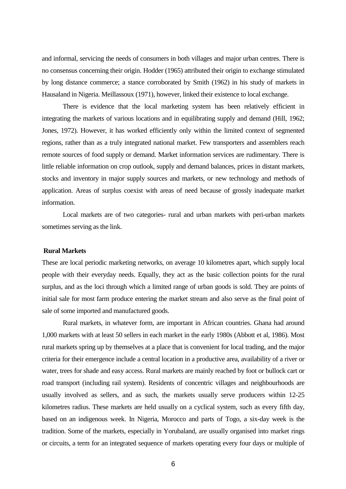and informal, servicing the needs of consumers in both villages and major urban centres. There is no consensus concerning their origin. Hodder (1965) attributed their origin to exchange stimulated by long distance commerce; a stance corroborated by Smith (1962) in his study of markets in Hausaland in Nigeria. Meillassoux (1971), however, linked their existence to local exchange.

There is evidence that the local marketing system has been relatively efficient in integrating the markets of various locations and in equilibrating supply and demand (Hill, 1962; Jones, 1972). However, it has worked efficiently only within the limited context of segmented regions, rather than as a truly integrated national market. Few transporters and assemblers reach remote sources of food supply or demand. Market information services are rudimentary. There is little reliable information on crop outlook, supply and demand balances, prices in distant markets, stocks and inventory in major supply sources and markets, or new technology and methods of application. Areas of surplus coexist with areas of need because of grossly inadequate market information.

Local markets are of two categories- rural and urban markets with peri-urban markets sometimes serving as the link.

# **Rural Markets**

These are local periodic marketing networks, on average 10 kilometres apart, which supply local people with their everyday needs. Equally, they act as the basic collection points for the rural surplus, and as the loci through which a limited range of urban goods is sold. They are points of initial sale for most farm produce entering the market stream and also serve as the final point of sale of some imported and manufactured goods.

Rural markets, in whatever form, are important in African countries. Ghana had around 1,000 markets with at least 50 sellers in each market in the early 1980s (Abbott et al, 1986). Most rural markets spring up by themselves at a place that is convenient for local trading, and the major criteria for their emergence include a central location in a productive area, availability of a river or water, trees for shade and easy access. Rural markets are mainly reached by foot or bullock cart or road transport (including rail system). Residents of concentric villages and neighbourhoods are usually involved as sellers, and as such, the markets usually serve producers within 12-25 kilometres radius. These markets are held usually on a cyclical system, such as every fifth day, based on an indigenous week. In Nigeria, Morocco and parts of Togo, a six-day week is the tradition. Some of the markets, especially in Yorubaland, are usually organised into market rings or circuits, a term for an integrated sequence of markets operating every four days or multiple of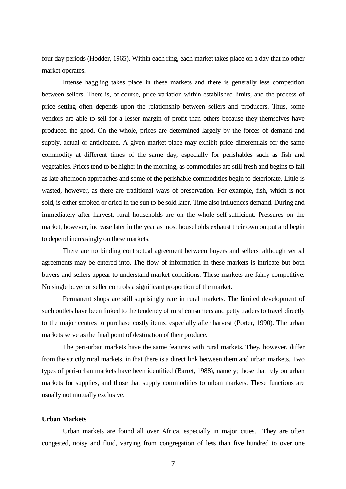four day periods (Hodder, 1965). Within each ring, each market takes place on a day that no other market operates.

Intense haggling takes place in these markets and there is generally less competition between sellers. There is, of course, price variation within established limits, and the process of price setting often depends upon the relationship between sellers and producers. Thus, some vendors are able to sell for a lesser margin of profit than others because they themselves have produced the good. On the whole, prices are determined largely by the forces of demand and supply, actual or anticipated. A given market place may exhibit price differentials for the same commodity at different times of the same day, especially for perishables such as fish and vegetables. Prices tend to be higher in the morning, as commodities are still fresh and begins to fall as late afternoon approaches and some of the perishable commodities begin to deteriorate. Little is wasted, however, as there are traditional ways of preservation. For example, fish, which is not sold, is either smoked or dried in the sun to be sold later. Time also influences demand. During and immediately after harvest, rural households are on the whole self-sufficient. Pressures on the market, however, increase later in the year as most households exhaust their own output and begin to depend increasingly on these markets.

There are no binding contractual agreement between buyers and sellers, although verbal agreements may be entered into. The flow of information in these markets is intricate but both buyers and sellers appear to understand market conditions. These markets are fairly competitive. No single buyer or seller controls a significant proportion of the market.

Permanent shops are still suprisingly rare in rural markets. The limited development of such outlets have been linked to the tendency of rural consumers and petty traders to travel directly to the major centres to purchase costly items, especially after harvest (Porter, 1990). The urban markets serve as the final point of destination of their produce.

 The peri-urban markets have the same features with rural markets. They, however, differ from the strictly rural markets, in that there is a direct link between them and urban markets. Two types of peri-urban markets have been identified (Barret, 1988), namely; those that rely on urban markets for supplies, and those that supply commodities to urban markets. These functions are usually not mutually exclusive.

#### **Urban Markets**

 Urban markets are found all over Africa, especially in major cities. They are often congested, noisy and fluid, varying from congregation of less than five hundred to over one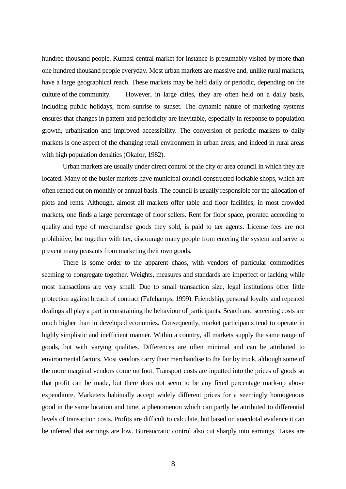hundred thousand people. Kumasi central market for instance is presumably visited by more than one hundred thousand people everyday. Most urban markets are massive and, unlike rural markets, have a large geographical reach. These markets may be held daily or periodic, depending on the culture of the community. However, in large cities, they are often held on a daily basis, including public holidays, from sunrise to sunset. The dynamic nature of marketing systems ensures that changes in pattern and periodicity are inevitable, especially in response to population growth, urbanisation and improved accessibility. The conversion of periodic markets to daily markets is one aspect of the changing retail environment in urban areas, and indeed in rural areas with high population densities (Okafor, 1982).

Urban markets are usually under direct control of the city or area council in which they are located. Many of the busier markets have municipal council constructed lockable shops, which are often rented out on monthly or annual basis. The council is usually responsible for the allocation of plots and rents. Although, almost all markets offer table and floor facilities, in most crowded markets, one finds a large percentage of floor sellers. Rent for floor space, prorated according to quality and type of merchandise goods they sold, is paid to tax agents. License fees are not prohibitive, but together with tax, discourage many people from entering the system and serve to prevent many peasants from marketing their own goods.

There is some order to the apparent chaos, with vendors of particular commodities seeming to congregate together. Weights, measures and standards are imperfect or lacking while most transactions are very small. Due to small transaction size, legal institutions offer little protection against breach of contract (Fafchamps, 1999). Friendship, personal loyalty and repeated dealings all play a part in constraining the behaviour of participants. Search and screening costs are much higher than in developed economies. Consequently, market participants tend to operate in highly simplistic and inefficient manner. Within a country, all markets supply the same range of goods, but with varying qualities. Differences are often minimal and can be attributed to environmental factors. Most vendors carry their merchandise to the fair by truck, although some of the more marginal vendors come on foot. Transport costs are inputted into the prices of goods so that profit can be made, but there does not seem to be any fixed percentage mark-up above expenditure. Marketers habitually accept widely different prices for a seemingly homogenous good in the same location and time, a phenomenon which can partly be attributed to differential levels of transaction costs. Profits are difficult to calculate, but based on anecdotal evidence it can be inferred that earnings are low. Bureaucratic control also cut sharply into earnings. Taxes are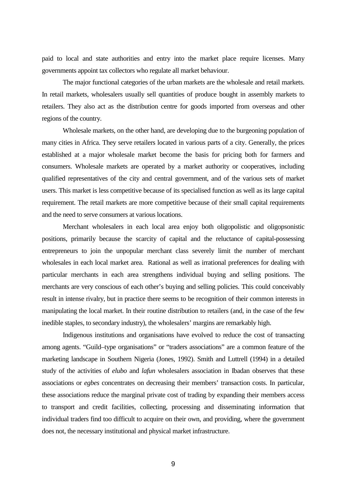paid to local and state authorities and entry into the market place require licenses. Many governments appoint tax collectors who regulate all market behaviour.

 The major functional categories of the urban markets are the wholesale and retail markets. In retail markets, wholesalers usually sell quantities of produce bought in assembly markets to retailers. They also act as the distribution centre for goods imported from overseas and other regions of the country.

Wholesale markets, on the other hand, are developing due to the burgeoning population of many cities in Africa. They serve retailers located in various parts of a city. Generally, the prices established at a major wholesale market become the basis for pricing both for farmers and consumers. Wholesale markets are operated by a market authority or cooperatives, including qualified representatives of the city and central government, and of the various sets of market users. This market is less competitive because of its specialised function as well as its large capital requirement. The retail markets are more competitive because of their small capital requirements and the need to serve consumers at various locations.

Merchant wholesalers in each local area enjoy both oligopolistic and oligopsonistic positions, primarily because the scarcity of capital and the reluctance of capital-possessing entrepreneurs to join the unpopular merchant class severely limit the number of merchant wholesales in each local market area. Rational as well as irrational preferences for dealing with particular merchants in each area strengthens individual buying and selling positions. The merchants are very conscious of each other's buying and selling policies. This could conceivably result in intense rivalry, but in practice there seems to be recognition of their common interests in manipulating the local market. In their routine distribution to retailers (and, in the case of the few inedible staples, to secondary industry), the wholesalers' margins are remarkably high.

Indigenous institutions and organisations have evolved to reduce the cost of transacting among agents. "Guild–type organisations" or "traders associations" are a common feature of the marketing landscape in Southern Nigeria (Jones, 1992). Smith and Luttrell (1994) in a detailed study of the activities of *elubo* and *lafun* wholesalers association in Ibadan observes that these associations or *egbes* concentrates on decreasing their members' transaction costs. In particular, these associations reduce the marginal private cost of trading by expanding their members access to transport and credit facilities, collecting, processing and disseminating information that individual traders find too difficult to acquire on their own, and providing, where the government does not, the necessary institutional and physical market infrastructure.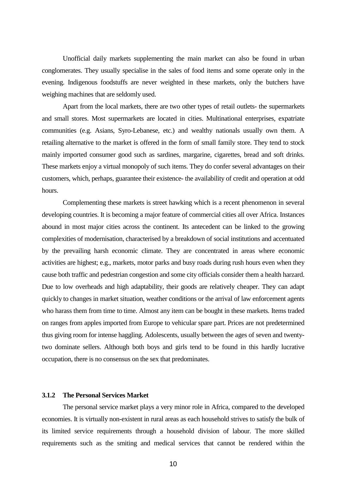Unofficial daily markets supplementing the main market can also be found in urban conglomerates. They usually specialise in the sales of food items and some operate only in the evening. Indigenous foodstuffs are never weighted in these markets, only the butchers have weighing machines that are seldomly used.

Apart from the local markets, there are two other types of retail outlets- the supermarkets and small stores. Most supermarkets are located in cities. Multinational enterprises, expatriate communities (e.g. Asians, Syro-Lebanese, etc.) and wealthy nationals usually own them. A retailing alternative to the market is offered in the form of small family store. They tend to stock mainly imported consumer good such as sardines, margarine, cigarettes, bread and soft drinks. These markets enjoy a virtual monopoly of such items. They do confer several advantages on their customers, which, perhaps, guarantee their existence- the availability of credit and operation at odd hours.

Complementing these markets is street hawking which is a recent phenomenon in several developing countries. It is becoming a major feature of commercial cities all over Africa. Instances abound in most major cities across the continent. Its antecedent can be linked to the growing complexities of modernisation, characterised by a breakdown of social institutions and accentuated by the prevailing harsh economic climate. They are concentrated in areas where economic activities are highest; e.g., markets, motor parks and busy roads during rush hours even when they cause both traffic and pedestrian congestion and some city officials consider them a health harzard. Due to low overheads and high adaptability, their goods are relatively cheaper. They can adapt quickly to changes in market situation, weather conditions or the arrival of law enforcement agents who harass them from time to time. Almost any item can be bought in these markets. Items traded on ranges from apples imported from Europe to vehicular spare part. Prices are not predetermined thus giving room for intense haggling. Adolescents, usually between the ages of seven and twentytwo dominate sellers. Although both boys and girls tend to be found in this hardly lucrative occupation, there is no consensus on the sex that predominates.

## **3.1.2 The Personal Services Market**

The personal service market plays a very minor role in Africa, compared to the developed economies. It is virtually non-existent in rural areas as each household strives to satisfy the bulk of its limited service requirements through a household division of labour. The more skilled requirements such as the smiting and medical services that cannot be rendered within the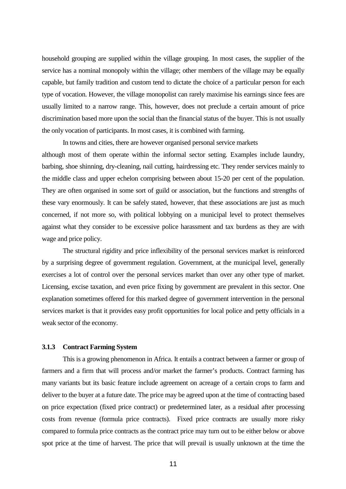household grouping are supplied within the village grouping. In most cases, the supplier of the service has a nominal monopoly within the village; other members of the village may be equally capable, but family tradition and custom tend to dictate the choice of a particular person for each type of vocation. However, the village monopolist can rarely maximise his earnings since fees are usually limited to a narrow range. This, however, does not preclude a certain amount of price discrimination based more upon the social than the financial status of the buyer. This is not usually the only vocation of participants. In most cases, it is combined with farming.

In towns and cities, there are however organised personal service markets although most of them operate within the informal sector setting. Examples include laundry, barbing, shoe shinning, dry-cleaning, nail cutting, hairdressing etc. They render services mainly to the middle class and upper echelon comprising between about 15-20 per cent of the population. They are often organised in some sort of guild or association, but the functions and strengths of these vary enormously. It can be safely stated, however, that these associations are just as much concerned, if not more so, with political lobbying on a municipal level to protect themselves against what they consider to be excessive police harassment and tax burdens as they are with wage and price policy.

The structural rigidity and price inflexibility of the personal services market is reinforced by a surprising degree of government regulation. Government, at the municipal level, generally exercises a lot of control over the personal services market than over any other type of market. Licensing, excise taxation, and even price fixing by government are prevalent in this sector. One explanation sometimes offered for this marked degree of government intervention in the personal services market is that it provides easy profit opportunities for local police and petty officials in a weak sector of the economy.

#### **3.1.3 Contract Farming System**

This is a growing phenomenon in Africa. It entails a contract between a farmer or group of farmers and a firm that will process and/or market the farmer's products. Contract farming has many variants but its basic feature include agreement on acreage of a certain crops to farm and deliver to the buyer at a future date. The price may be agreed upon at the time of contracting based on price expectation (fixed price contract) or predetermined later, as a residual after processing costs from revenue (formula price contracts). Fixed price contracts are usually more risky compared to formula price contracts as the contract price may turn out to be either below or above spot price at the time of harvest. The price that will prevail is usually unknown at the time the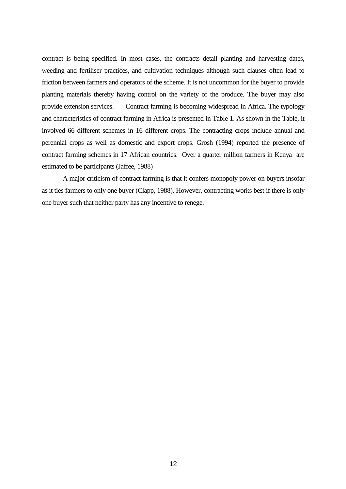contract is being specified. In most cases, the contracts detail planting and harvesting dates, weeding and fertiliser practices, and cultivation techniques although such clauses often lead to friction between farmers and operators of the scheme. It is not uncommon for the buyer to provide planting materials thereby having control on the variety of the produce. The buyer may also provide extension services. Contract farming is becoming widespread in Africa. The typology and characteristics of contract farming in Africa is presented in Table 1. As shown in the Table, it involved 66 different schemes in 16 different crops. The contracting crops include annual and perennial crops as well as domestic and export crops. Grosh (1994) reported the presence of contract farming schemes in 17 African countries. Over a quarter million farmers in Kenya are estimated to be participants (Jaffee, 1988)

A major criticism of contract farming is that it confers monopoly power on buyers insofar as it ties farmers to only one buyer (Clapp, 1988). However, contracting works best if there is only one buyer such that neither party has any incentive to renege.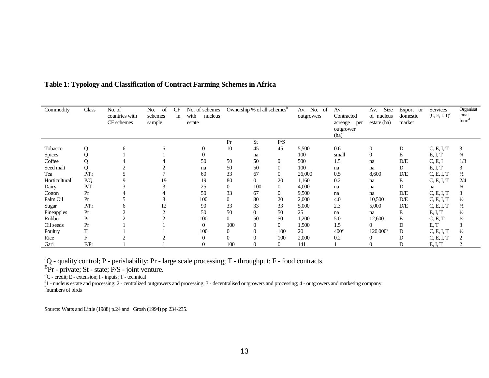| Commodity     | Class | No. of<br>countries with<br>CF schemes | of<br>No.<br>schemes<br>sample | <b>CF</b><br>in | No. of schemes<br>with<br>nucleus<br>estate | Ownership % of all schemes <sup>o</sup> |                  | Av. No. of<br>outgrowers | Av.<br>Contracted<br>acreage<br>per<br>outgrower<br>(ha) | Size<br>Av.<br>of nucleus<br>estate (ha) | Export or<br>domestic<br>market | Services<br>$(C, E, I, T)^c$ | Organisat<br>ional<br>form <sup>d</sup> |                |
|---------------|-------|----------------------------------------|--------------------------------|-----------------|---------------------------------------------|-----------------------------------------|------------------|--------------------------|----------------------------------------------------------|------------------------------------------|---------------------------------|------------------------------|-----------------------------------------|----------------|
|               |       |                                        |                                |                 |                                             | Pr                                      | <b>St</b>        | P/S                      |                                                          |                                          |                                 |                              |                                         |                |
| Tobacco       | Q     | 6                                      | 6                              |                 | $\overline{0}$                              | 10                                      | 45               | 45                       | 5,500                                                    | 0.6                                      | $\boldsymbol{0}$                | D                            | C, E, I, T                              | 3              |
| <b>Spices</b> | Q     |                                        |                                |                 | $\Omega$                                    |                                         | na               |                          | 100                                                      | small                                    | $\theta$                        | E                            | E, I, T                                 | $\frac{3}{4}$  |
| Coffee        |       |                                        |                                |                 | 50                                          | 50                                      | 50               | $\overline{0}$           | 500                                                      | 1.5                                      | na                              | D/E                          | C, E, I                                 | 1/3            |
| Seed malt     | Q     |                                        |                                |                 | na                                          | 50                                      | 50               | $\theta$                 | 100                                                      | na                                       | na                              | D                            | E, I, T                                 | 3              |
| Tea           | P/Pr  |                                        |                                |                 | 60                                          | 33                                      | 67               | $\mathbf{0}$             | 26,000                                                   | 0.5                                      | 8,600                           | D/E                          | C, E, I, T                              | $\frac{1}{2}$  |
| Horticultural | P/Q   | 9                                      | 19                             |                 | 19                                          | 80                                      | $\mathbf{0}$     | 20                       | 1,160                                                    | 0.2                                      | na                              | E                            | C, E, I, T                              | 2/4            |
| Dairy         | P/T   |                                        | 3                              |                 | 25                                          | $\overline{0}$                          | 100              | $\mathbf{0}$             | 4,000                                                    | na                                       | na                              | D                            | na                                      | $\frac{1}{4}$  |
| Cotton        | Pr    |                                        |                                |                 | 50                                          | 33                                      | 67               | $\overline{0}$           | 9,500                                                    | na                                       | na                              | D/E                          | C, E, I, T                              | 3              |
| Palm Oil      | Pr    |                                        | 8                              |                 | 100                                         | $\overline{0}$                          | 80               | 20                       | 2,000                                                    | 4.0                                      | 10,500                          | D/E                          | C, E, I, T                              | $\frac{1}{2}$  |
| Sugar         | P/Pr  | O.                                     | 12                             |                 | 90                                          | 33                                      | 33               | 33                       | 5,000                                                    | 2.3                                      | 5,000                           | D/E                          | C, E, I, T                              | $\frac{1}{2}$  |
| Pineapples    | Pr    |                                        | 2                              |                 | 50                                          | 50                                      | $\overline{0}$   | 50                       | 25                                                       | na                                       | na                              | E                            | E, I, T                                 | $\frac{1}{2}$  |
| Rubber        | Pr    |                                        |                                |                 | 100                                         | $\overline{0}$                          | 50               | 50                       | 1,200                                                    | 5.0                                      | 12,600                          | E                            | C, E, T                                 | $\frac{1}{2}$  |
| Oil seeds     | Pr    |                                        |                                |                 | $\Omega$                                    | 100                                     | $\mathbf{0}$     | $\overline{0}$           | 1,500                                                    | 1.5                                      | 0                               | D                            | E, T                                    | 3              |
| Poultry       |       |                                        |                                |                 | 100                                         | $\overline{0}$                          | $\boldsymbol{0}$ | 100                      | 20                                                       | $400^\circ$                              | $120,000^e$                     | D                            | C, E, I, T                              | $\frac{1}{2}$  |
| Rice          | F     |                                        |                                |                 | 0                                           | $\Omega$                                | $\overline{0}$   | 100                      | 2,000                                                    | 0.2                                      | 0                               | D                            | C, E, I, T                              | $\overline{2}$ |
| Gari          | F/Pr  |                                        |                                |                 | 0                                           | 100                                     | $\Omega$         | $\Omega$                 | 141                                                      |                                          |                                 |                              | E, I, T                                 | 2              |

# **Table 1: Typology and Classification of Contract Farming Schemes in Africa**

<sup>a</sup>Q - quality control; P - perishability; Pr - large scale processing; T - throughput; F - food contracts.

 ${}^{B}Pr$  - private; St - state; P/S - joint venture.

 ${}^C\!C$  - credit; E - extension; I - inputs; T - technical

 $d_1$  - nucleus estate and processing; 2 - centralized outgrowers and processing; 3 - decentralised outgrowers and processing; 4 - outgrowers and marketing company. Enumbers of birds

Source: Watts and Little (1988) p.24 and Grosh (1994) pp 234-235.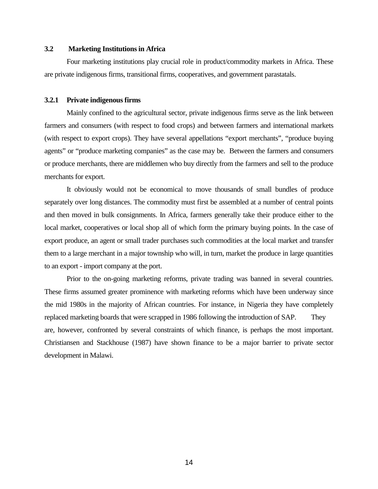## **3.2 Marketing Institutions in Africa**

Four marketing institutions play crucial role in product/commodity markets in Africa. These are private indigenous firms, transitional firms, cooperatives, and government parastatals.

#### **3.2.1 Private indigenous firms**

Mainly confined to the agricultural sector, private indigenous firms serve as the link between farmers and consumers (with respect to food crops) and between farmers and international markets (with respect to export crops). They have several appellations "export merchants", "produce buying agents" or "produce marketing companies" as the case may be. Between the farmers and consumers or produce merchants, there are middlemen who buy directly from the farmers and sell to the produce merchants for export.

It obviously would not be economical to move thousands of small bundles of produce separately over long distances. The commodity must first be assembled at a number of central points and then moved in bulk consignments. In Africa, farmers generally take their produce either to the local market, cooperatives or local shop all of which form the primary buying points. In the case of export produce, an agent or small trader purchases such commodities at the local market and transfer them to a large merchant in a major township who will, in turn, market the produce in large quantities to an export - import company at the port.

Prior to the on-going marketing reforms, private trading was banned in several countries. These firms assumed greater prominence with marketing reforms which have been underway since the mid 1980s in the majority of African countries. For instance, in Nigeria they have completely replaced marketing boards that were scrapped in 1986 following the introduction of SAP. They are, however, confronted by several constraints of which finance, is perhaps the most important. Christiansen and Stackhouse (1987) have shown finance to be a major barrier to private sector development in Malawi.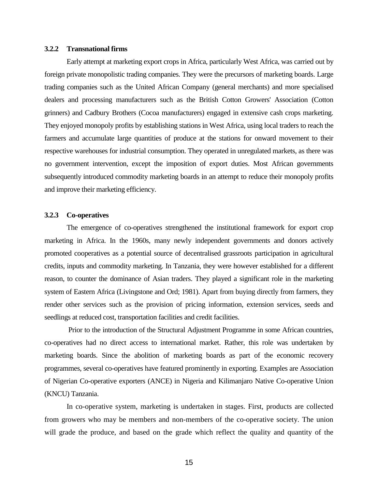#### **3.2.2 Transnational firms**

Early attempt at marketing export crops in Africa, particularly West Africa, was carried out by foreign private monopolistic trading companies. They were the precursors of marketing boards. Large trading companies such as the United African Company (general merchants) and more specialised dealers and processing manufacturers such as the British Cotton Growers' Association (Cotton grinners) and Cadbury Brothers (Cocoa manufacturers) engaged in extensive cash crops marketing. They enjoyed monopoly profits by establishing stations in West Africa, using local traders to reach the farmers and accumulate large quantities of produce at the stations for onward movement to their respective warehouses for industrial consumption. They operated in unregulated markets, as there was no government intervention, except the imposition of export duties. Most African governments subsequently introduced commodity marketing boards in an attempt to reduce their monopoly profits and improve their marketing efficiency.

#### **3.2.3 Co-operatives**

The emergence of co-operatives strengthened the institutional framework for export crop marketing in Africa. In the 1960s, many newly independent governments and donors actively promoted cooperatives as a potential source of decentralised grassroots participation in agricultural credits, inputs and commodity marketing. In Tanzania, they were however established for a different reason, to counter the dominance of Asian traders. They played a significant role in the marketing system of Eastern Africa (Livingstone and Ord; 1981). Apart from buying directly from farmers, they render other services such as the provision of pricing information, extension services, seeds and seedlings at reduced cost, transportation facilities and credit facilities.

 Prior to the introduction of the Structural Adjustment Programme in some African countries, co-operatives had no direct access to international market. Rather, this role was undertaken by marketing boards. Since the abolition of marketing boards as part of the economic recovery programmes, several co-operatives have featured prominently in exporting. Examples are Association of Nigerian Co-operative exporters (ANCE) in Nigeria and Kilimanjaro Native Co-operative Union (KNCU) Tanzania.

In co-operative system, marketing is undertaken in stages. First, products are collected from growers who may be members and non-members of the co-operative society. The union will grade the produce, and based on the grade which reflect the quality and quantity of the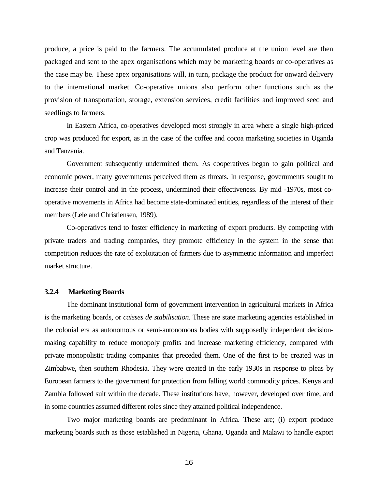produce, a price is paid to the farmers. The accumulated produce at the union level are then packaged and sent to the apex organisations which may be marketing boards or co-operatives as the case may be. These apex organisations will, in turn, package the product for onward delivery to the international market. Co-operative unions also perform other functions such as the provision of transportation, storage, extension services, credit facilities and improved seed and seedlings to farmers.

In Eastern Africa, co-operatives developed most strongly in area where a single high-priced crop was produced for export, as in the case of the coffee and cocoa marketing societies in Uganda and Tanzania.

Government subsequently undermined them. As cooperatives began to gain political and economic power, many governments perceived them as threats. In response, governments sought to increase their control and in the process, undermined their effectiveness. By mid -1970s, most cooperative movements in Africa had become state-dominated entities, regardless of the interest of their members (Lele and Christiensen, 1989).

Co-operatives tend to foster efficiency in marketing of export products. By competing with private traders and trading companies, they promote efficiency in the system in the sense that competition reduces the rate of exploitation of farmers due to asymmetric information and imperfect market structure.

#### **3.2.4 Marketing Boards**

The dominant institutional form of government intervention in agricultural markets in Africa is the marketing boards, or *caisses de stabilisation*. These are state marketing agencies established in the colonial era as autonomous or semi-autonomous bodies with supposedly independent decisionmaking capability to reduce monopoly profits and increase marketing efficiency, compared with private monopolistic trading companies that preceded them. One of the first to be created was in Zimbabwe, then southern Rhodesia. They were created in the early 1930s in response to pleas by European farmers to the government for protection from falling world commodity prices. Kenya and Zambia followed suit within the decade. These institutions have, however, developed over time, and in some countries assumed different roles since they attained political independence.

Two major marketing boards are predominant in Africa. These are; (i) export produce marketing boards such as those established in Nigeria, Ghana, Uganda and Malawi to handle export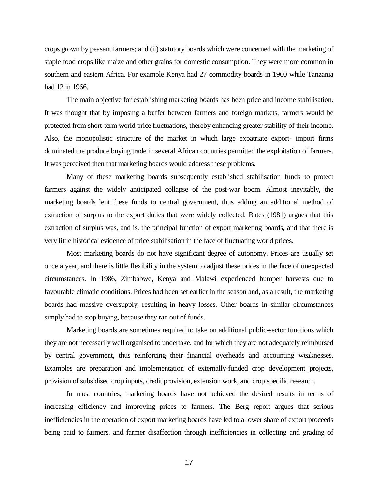crops grown by peasant farmers; and (ii) statutory boards which were concerned with the marketing of staple food crops like maize and other grains for domestic consumption. They were more common in southern and eastern Africa. For example Kenya had 27 commodity boards in 1960 while Tanzania had 12 in 1966.

The main objective for establishing marketing boards has been price and income stabilisation. It was thought that by imposing a buffer between farmers and foreign markets, farmers would be protected from short-term world price fluctuations, thereby enhancing greater stability of their income. Also, the monopolistic structure of the market in which large expatriate export- import firms dominated the produce buying trade in several African countries permitted the exploitation of farmers. It was perceived then that marketing boards would address these problems.

Many of these marketing boards subsequently established stabilisation funds to protect farmers against the widely anticipated collapse of the post-war boom. Almost inevitably, the marketing boards lent these funds to central government, thus adding an additional method of extraction of surplus to the export duties that were widely collected. Bates (1981) argues that this extraction of surplus was, and is, the principal function of export marketing boards, and that there is very little historical evidence of price stabilisation in the face of fluctuating world prices.

Most marketing boards do not have significant degree of autonomy. Prices are usually set once a year, and there is little flexibility in the system to adjust these prices in the face of unexpected circumstances. In 1986, Zimbabwe, Kenya and Malawi experienced bumper harvests due to favourable climatic conditions. Prices had been set earlier in the season and, as a result, the marketing boards had massive oversupply, resulting in heavy losses. Other boards in similar circumstances simply had to stop buying, because they ran out of funds.

Marketing boards are sometimes required to take on additional public-sector functions which they are not necessarily well organised to undertake, and for which they are not adequately reimbursed by central government, thus reinforcing their financial overheads and accounting weaknesses. Examples are preparation and implementation of externally-funded crop development projects, provision of subsidised crop inputs, credit provision, extension work, and crop specific research.

In most countries, marketing boards have not achieved the desired results in terms of increasing efficiency and improving prices to farmers. The Berg report argues that serious inefficiencies in the operation of export marketing boards have led to a lower share of export proceeds being paid to farmers, and farmer disaffection through inefficiencies in collecting and grading of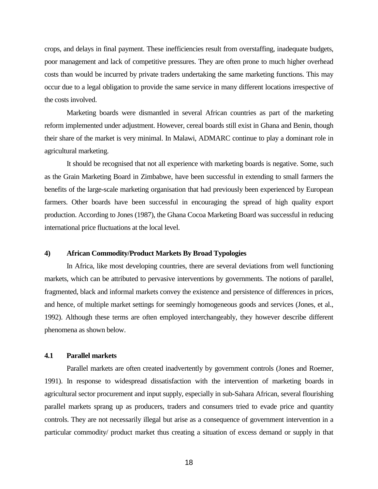crops, and delays in final payment. These inefficiencies result from overstaffing, inadequate budgets, poor management and lack of competitive pressures. They are often prone to much higher overhead costs than would be incurred by private traders undertaking the same marketing functions. This may occur due to a legal obligation to provide the same service in many different locations irrespective of the costs involved.

Marketing boards were dismantled in several African countries as part of the marketing reform implemented under adjustment. However, cereal boards still exist in Ghana and Benin, though their share of the market is very minimal. In Malawi, ADMARC continue to play a dominant role in agricultural marketing.

It should be recognised that not all experience with marketing boards is negative. Some, such as the Grain Marketing Board in Zimbabwe, have been successful in extending to small farmers the benefits of the large-scale marketing organisation that had previously been experienced by European farmers. Other boards have been successful in encouraging the spread of high quality export production. According to Jones (1987), the Ghana Cocoa Marketing Board was successful in reducing international price fluctuations at the local level.

#### **4) African Commodity/Product Markets By Broad Typologies**

In Africa, like most developing countries, there are several deviations from well functioning markets, which can be attributed to pervasive interventions by governments. The notions of parallel, fragmented, black and informal markets convey the existence and persistence of differences in prices, and hence, of multiple market settings for seemingly homogeneous goods and services (Jones, et al., 1992). Although these terms are often employed interchangeably, they however describe different phenomena as shown below.

# **4.1 Parallel markets**

Parallel markets are often created inadvertently by government controls (Jones and Roemer, 1991). In response to widespread dissatisfaction with the intervention of marketing boards in agricultural sector procurement and input supply, especially in sub-Sahara African, several flourishing parallel markets sprang up as producers, traders and consumers tried to evade price and quantity controls. They are not necessarily illegal but arise as a consequence of government intervention in a particular commodity/ product market thus creating a situation of excess demand or supply in that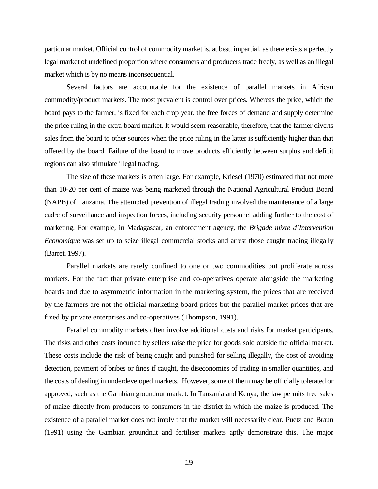particular market. Official control of commodity market is, at best, impartial, as there exists a perfectly legal market of undefined proportion where consumers and producers trade freely, as well as an illegal market which is by no means inconsequential.

Several factors are accountable for the existence of parallel markets in African commodity/product markets. The most prevalent is control over prices. Whereas the price, which the board pays to the farmer, is fixed for each crop year, the free forces of demand and supply determine the price ruling in the extra-board market. It would seem reasonable, therefore, that the farmer diverts sales from the board to other sources when the price ruling in the latter is sufficiently higher than that offered by the board. Failure of the board to move products efficiently between surplus and deficit regions can also stimulate illegal trading.

The size of these markets is often large. For example, Kriesel (1970) estimated that not more than 10-20 per cent of maize was being marketed through the National Agricultural Product Board (NAPB) of Tanzania. The attempted prevention of illegal trading involved the maintenance of a large cadre of surveillance and inspection forces, including security personnel adding further to the cost of marketing. For example, in Madagascar, an enforcement agency, the *Brigade mixte d'Intervention Economique* was set up to seize illegal commercial stocks and arrest those caught trading illegally (Barret, 1997).

Parallel markets are rarely confined to one or two commodities but proliferate across markets. For the fact that private enterprise and co-operatives operate alongside the marketing boards and due to asymmetric information in the marketing system, the prices that are received by the farmers are not the official marketing board prices but the parallel market prices that are fixed by private enterprises and co-operatives (Thompson, 1991).

Parallel commodity markets often involve additional costs and risks for market participants. The risks and other costs incurred by sellers raise the price for goods sold outside the official market. These costs include the risk of being caught and punished for selling illegally, the cost of avoiding detection, payment of bribes or fines if caught, the diseconomies of trading in smaller quantities, and the costs of dealing in underdeveloped markets. However, some of them may be officially tolerated or approved, such as the Gambian groundnut market. In Tanzania and Kenya, the law permits free sales of maize directly from producers to consumers in the district in which the maize is produced. The existence of a parallel market does not imply that the market will necessarily clear. Puetz and Braun (1991) using the Gambian groundnut and fertiliser markets aptly demonstrate this. The major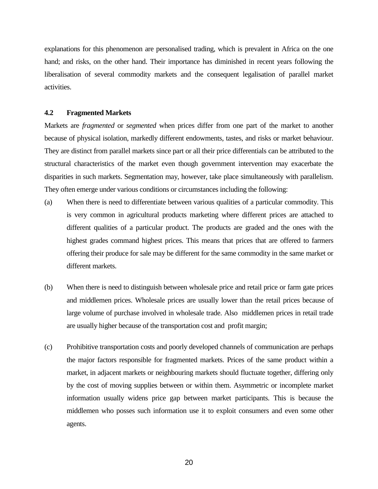explanations for this phenomenon are personalised trading, which is prevalent in Africa on the one hand; and risks, on the other hand. Their importance has diminished in recent years following the liberalisation of several commodity markets and the consequent legalisation of parallel market activities.

# **4.2 Fragmented Markets**

Markets are *fragmented* or *segmented* when prices differ from one part of the market to another because of physical isolation, markedly different endowments, tastes, and risks or market behaviour. They are distinct from parallel markets since part or all their price differentials can be attributed to the structural characteristics of the market even though government intervention may exacerbate the disparities in such markets. Segmentation may, however, take place simultaneously with parallelism. They often emerge under various conditions or circumstances including the following:

- (a) When there is need to differentiate between various qualities of a particular commodity. This is very common in agricultural products marketing where different prices are attached to different qualities of a particular product. The products are graded and the ones with the highest grades command highest prices. This means that prices that are offered to farmers offering their produce for sale may be different for the same commodity in the same market or different markets.
- (b) When there is need to distinguish between wholesale price and retail price or farm gate prices and middlemen prices. Wholesale prices are usually lower than the retail prices because of large volume of purchase involved in wholesale trade. Also middlemen prices in retail trade are usually higher because of the transportation cost and profit margin;
- (c) Prohibitive transportation costs and poorly developed channels of communication are perhaps the major factors responsible for fragmented markets. Prices of the same product within a market, in adjacent markets or neighbouring markets should fluctuate together, differing only by the cost of moving supplies between or within them. Asymmetric or incomplete market information usually widens price gap between market participants. This is because the middlemen who posses such information use it to exploit consumers and even some other agents.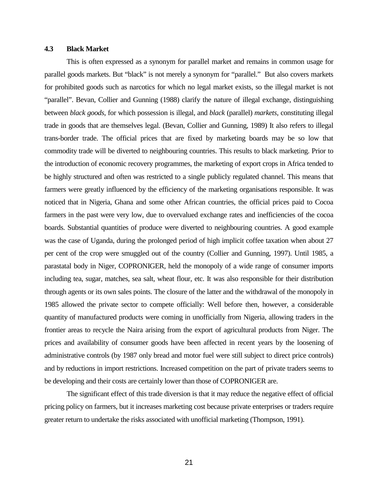# **4.3 Black Market**

This is often expressed as a synonym for parallel market and remains in common usage for parallel goods markets. But "black" is not merely a synonym for "parallel." But also covers markets for prohibited goods such as narcotics for which no legal market exists, so the illegal market is not "parallel". Bevan, Collier and Gunning (1988) clarify the nature of illegal exchange, distinguishing between *black goods,* for which possession is illegal, and *black* (parallel) *markets*, constituting illegal trade in goods that are themselves legal. (Bevan, Collier and Gunning, 1989) It also refers to illegal trans-border trade. The official prices that are fixed by marketing boards may be so low that commodity trade will be diverted to neighbouring countries. This results to black marketing. Prior to the introduction of economic recovery programmes, the marketing of export crops in Africa tended to be highly structured and often was restricted to a single publicly regulated channel. This means that farmers were greatly influenced by the efficiency of the marketing organisations responsible. It was noticed that in Nigeria, Ghana and some other African countries, the official prices paid to Cocoa farmers in the past were very low, due to overvalued exchange rates and inefficiencies of the cocoa boards. Substantial quantities of produce were diverted to neighbouring countries. A good example was the case of Uganda, during the prolonged period of high implicit coffee taxation when about 27 per cent of the crop were smuggled out of the country (Collier and Gunning, 1997). Until 1985, a parastatal body in Niger, COPRONIGER, held the monopoly of a wide range of consumer imports including tea, sugar, matches, sea salt, wheat flour, etc. It was also responsible for their distribution through agents or its own sales points. The closure of the latter and the withdrawal of the monopoly in 1985 allowed the private sector to compete officially: Well before then, however, a considerable quantity of manufactured products were coming in unofficially from Nigeria, allowing traders in the frontier areas to recycle the Naira arising from the export of agricultural products from Niger. The prices and availability of consumer goods have been affected in recent years by the loosening of administrative controls (by 1987 only bread and motor fuel were still subject to direct price controls) and by reductions in import restrictions. Increased competition on the part of private traders seems to be developing and their costs are certainly lower than those of COPRONIGER are.

The significant effect of this trade diversion is that it may reduce the negative effect of official pricing policy on farmers, but it increases marketing cost because private enterprises or traders require greater return to undertake the risks associated with unofficial marketing (Thompson, 1991).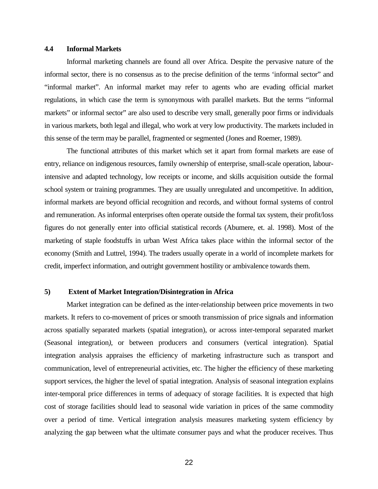## **4.4 Informal Markets**

Informal marketing channels are found all over Africa. Despite the pervasive nature of the informal sector, there is no consensus as to the precise definition of the terms 'informal sector" and "informal market". An informal market may refer to agents who are evading official market regulations, in which case the term is synonymous with parallel markets. But the terms "informal markets" or informal sector" are also used to describe very small, generally poor firms or individuals in various markets, both legal and illegal, who work at very low productivity. The markets included in this sense of the term may be parallel, fragmented or segmented (Jones and Roemer, 1989).

The functional attributes of this market which set it apart from formal markets are ease of entry, reliance on indigenous resources, family ownership of enterprise, small-scale operation, labourintensive and adapted technology, low receipts or income, and skills acquisition outside the formal school system or training programmes. They are usually unregulated and uncompetitive. In addition, informal markets are beyond official recognition and records, and without formal systems of control and remuneration. As informal enterprises often operate outside the formal tax system, their profit/loss figures do not generally enter into official statistical records (Abumere, et. al. 1998). Most of the marketing of staple foodstuffs in urban West Africa takes place within the informal sector of the economy (Smith and Luttrel, 1994). The traders usually operate in a world of incomplete markets for credit, imperfect information, and outright government hostility or ambivalence towards them.

#### **5) Extent of Market Integration/Disintegration in Africa**

Market integration can be defined as the inter-relationship between price movements in two markets. It refers to co-movement of prices or smooth transmission of price signals and information across spatially separated markets (spatial integration), or across inter-temporal separated market (Seasonal integration*)*, or between producers and consumers (vertical integration). Spatial integration analysis appraises the efficiency of marketing infrastructure such as transport and communication, level of entrepreneurial activities, etc. The higher the efficiency of these marketing support services, the higher the level of spatial integration. Analysis of seasonal integration explains inter-temporal price differences in terms of adequacy of storage facilities. It is expected that high cost of storage facilities should lead to seasonal wide variation in prices of the same commodity over a period of time. Vertical integration analysis measures marketing system efficiency by analyzing the gap between what the ultimate consumer pays and what the producer receives. Thus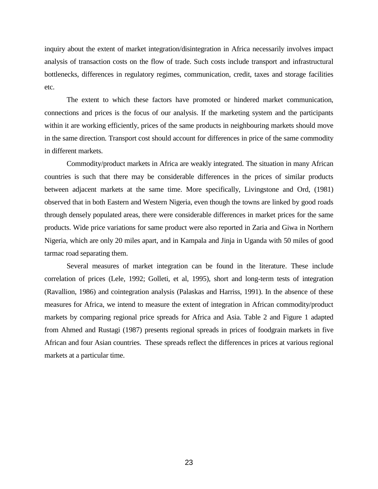inquiry about the extent of market integration/disintegration in Africa necessarily involves impact analysis of transaction costs on the flow of trade. Such costs include transport and infrastructural bottlenecks, differences in regulatory regimes, communication, credit, taxes and storage facilities etc.

The extent to which these factors have promoted or hindered market communication, connections and prices is the focus of our analysis. If the marketing system and the participants within it are working efficiently, prices of the same products in neighbouring markets should move in the same direction. Transport cost should account for differences in price of the same commodity in different markets.

Commodity/product markets in Africa are weakly integrated. The situation in many African countries is such that there may be considerable differences in the prices of similar products between adjacent markets at the same time. More specifically, Livingstone and Ord, (1981) observed that in both Eastern and Western Nigeria, even though the towns are linked by good roads through densely populated areas, there were considerable differences in market prices for the same products. Wide price variations for same product were also reported in Zaria and Giwa in Northern Nigeria, which are only 20 miles apart, and in Kampala and Jinja in Uganda with 50 miles of good tarmac road separating them.

Several measures of market integration can be found in the literature. These include correlation of prices (Lele, 1992; Golleti, et al, 1995), short and long-term tests of integration (Ravallion, 1986) and cointegration analysis (Palaskas and Harriss, 1991). In the absence of these measures for Africa, we intend to measure the extent of integration in African commodity/product markets by comparing regional price spreads for Africa and Asia. Table 2 and Figure 1 adapted from Ahmed and Rustagi (1987) presents regional spreads in prices of foodgrain markets in five African and four Asian countries. These spreads reflect the differences in prices at various regional markets at a particular time.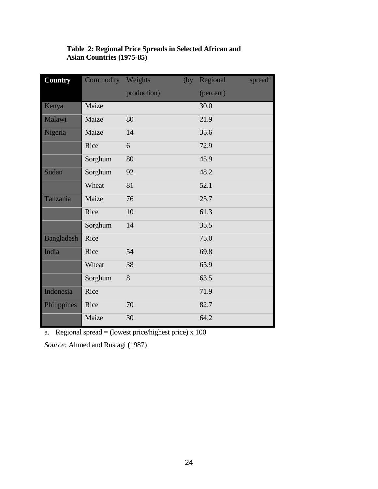# **Table 2: Regional Price Spreads in Selected African and Asian Countries (1975-85)**

| <b>Country</b>    | Commodity Weights |             | (by) | Regional  | spread <sup>a</sup> |
|-------------------|-------------------|-------------|------|-----------|---------------------|
|                   |                   | production) |      | (percent) |                     |
| Kenya             | Maize             |             |      | 30.0      |                     |
| Malawi            | Maize             | 80          |      | 21.9      |                     |
| Nigeria           | Maize             | 14          |      | 35.6      |                     |
|                   | Rice              | 6           |      | 72.9      |                     |
|                   | Sorghum           | 80          |      | 45.9      |                     |
| Sudan             | Sorghum           | 92          |      | 48.2      |                     |
|                   | Wheat             | 81          |      | 52.1      |                     |
| Tanzania          | Maize             | 76          |      | 25.7      |                     |
|                   | Rice              | 10          |      | 61.3      |                     |
|                   | Sorghum           | 14          |      | 35.5      |                     |
| <b>Bangladesh</b> | Rice              |             |      | 75.0      |                     |
| India             | Rice              | 54          |      | 69.8      |                     |
|                   | Wheat             | 38          |      | 65.9      |                     |
|                   | Sorghum           | 8           |      | 63.5      |                     |
| Indonesia         | Rice              |             |      | 71.9      |                     |
| Philippines       | Rice              | 70          |      | 82.7      |                     |
|                   | Maize             | 30          |      | 64.2      |                     |

a. Regional spread = (lowest price/highest price) x 100

*Source:* Ahmed and Rustagi (1987)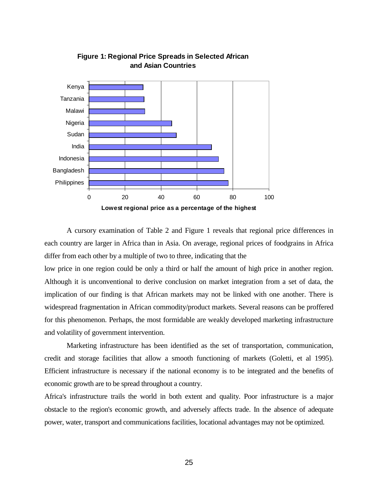

# **Figure 1: Regional Price Spreads in Selected African and Asian Countries**

A cursory examination of Table 2 and Figure 1 reveals that regional price differences in each country are larger in Africa than in Asia. On average, regional prices of foodgrains in Africa differ from each other by a multiple of two to three, indicating that the

low price in one region could be only a third or half the amount of high price in another region. Although it is unconventional to derive conclusion on market integration from a set of data, the implication of our finding is that African markets may not be linked with one another. There is widespread fragmentation in African commodity/product markets. Several reasons can be proffered for this phenomenon. Perhaps, the most formidable are weakly developed marketing infrastructure and volatility of government intervention.

Marketing infrastructure has been identified as the set of transportation, communication, credit and storage facilities that allow a smooth functioning of markets (Goletti, et al 1995). Efficient infrastructure is necessary if the national economy is to be integrated and the benefits of economic growth are to be spread throughout a country.

Africa's infrastructure trails the world in both extent and quality. Poor infrastructure is a major obstacle to the region's economic growth, and adversely affects trade. In the absence of adequate power, water, transport and communications facilities, locational advantages may not be optimized.

25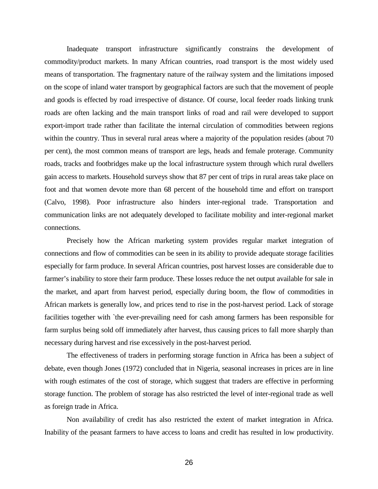Inadequate transport infrastructure significantly constrains the development of commodity/product markets. In many African countries, road transport is the most widely used means of transportation. The fragmentary nature of the railway system and the limitations imposed on the scope of inland water transport by geographical factors are such that the movement of people and goods is effected by road irrespective of distance. Of course, local feeder roads linking trunk roads are often lacking and the main transport links of road and rail were developed to support export-import trade rather than facilitate the internal circulation of commodities between regions within the country. Thus in several rural areas where a majority of the population resides (about 70 per cent), the most common means of transport are legs, heads and female proterage. Community roads, tracks and footbridges make up the local infrastructure system through which rural dwellers gain access to markets. Household surveys show that 87 per cent of trips in rural areas take place on foot and that women devote more than 68 percent of the household time and effort on transport (Calvo, 1998). Poor infrastructure also hinders inter-regional trade. Transportation and communication links are not adequately developed to facilitate mobility and inter-regional market connections.

Precisely how the African marketing system provides regular market integration of connections and flow of commodities can be seen in its ability to provide adequate storage facilities especially for farm produce. In several African countries, post harvest losses are considerable due to farmer's inability to store their farm produce. These losses reduce the net output available for sale in the market, and apart from harvest period, especially during boom, the flow of commodities in African markets is generally low, and prices tend to rise in the post-harvest period. Lack of storage facilities together with `the ever-prevailing need for cash among farmers has been responsible for farm surplus being sold off immediately after harvest, thus causing prices to fall more sharply than necessary during harvest and rise excessively in the post-harvest period.

The effectiveness of traders in performing storage function in Africa has been a subject of debate, even though Jones (1972) concluded that in Nigeria, seasonal increases in prices are in line with rough estimates of the cost of storage, which suggest that traders are effective in performing storage function. The problem of storage has also restricted the level of inter-regional trade as well as foreign trade in Africa.

Non availability of credit has also restricted the extent of market integration in Africa. Inability of the peasant farmers to have access to loans and credit has resulted in low productivity.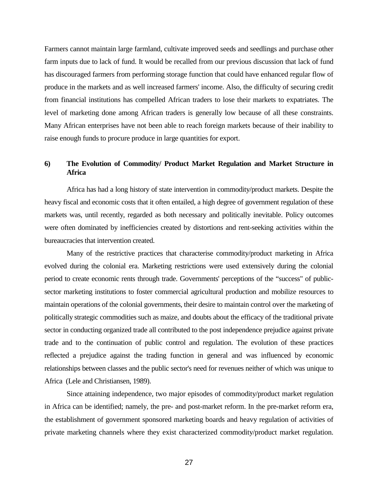Farmers cannot maintain large farmland, cultivate improved seeds and seedlings and purchase other farm inputs due to lack of fund. It would be recalled from our previous discussion that lack of fund has discouraged farmers from performing storage function that could have enhanced regular flow of produce in the markets and as well increased farmers' income. Also, the difficulty of securing credit from financial institutions has compelled African traders to lose their markets to expatriates. The level of marketing done among African traders is generally low because of all these constraints. Many African enterprises have not been able to reach foreign markets because of their inability to raise enough funds to procure produce in large quantities for export.

# **6) The Evolution of Commodity/ Product Market Regulation and Market Structure in Africa**

Africa has had a long history of state intervention in commodity/product markets. Despite the heavy fiscal and economic costs that it often entailed, a high degree of government regulation of these markets was, until recently, regarded as both necessary and politically inevitable. Policy outcomes were often dominated by inefficiencies created by distortions and rent-seeking activities within the bureaucracies that intervention created.

Many of the restrictive practices that characterise commodity/product marketing in Africa evolved during the colonial era. Marketing restrictions were used extensively during the colonial period to create economic rents through trade. Governments' perceptions of the "success" of publicsector marketing institutions to foster commercial agricultural production and mobilize resources to maintain operations of the colonial governments, their desire to maintain control over the marketing of politically strategic commodities such as maize, and doubts about the efficacy of the traditional private sector in conducting organized trade all contributed to the post independence prejudice against private trade and to the continuation of public control and regulation. The evolution of these practices reflected a prejudice against the trading function in general and was influenced by economic relationships between classes and the public sector's need for revenues neither of which was unique to Africa (Lele and Christiansen, 1989).

Since attaining independence, two major episodes of commodity/product market regulation in Africa can be identified; namely, the pre- and post-market reform. In the pre-market reform era, the establishment of government sponsored marketing boards and heavy regulation of activities of private marketing channels where they exist characterized commodity/product market regulation.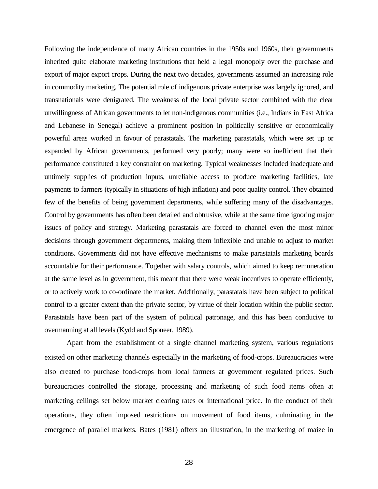Following the independence of many African countries in the 1950s and 1960s, their governments inherited quite elaborate marketing institutions that held a legal monopoly over the purchase and export of major export crops. During the next two decades, governments assumed an increasing role in commodity marketing. The potential role of indigenous private enterprise was largely ignored, and transnationals were denigrated. The weakness of the local private sector combined with the clear unwillingness of African governments to let non-indigenous communities (i.e., Indians in East Africa and Lebanese in Senegal) achieve a prominent position in politically sensitive or economically powerful areas worked in favour of parastatals. The marketing parastatals, which were set up or expanded by African governments, performed very poorly; many were so inefficient that their performance constituted a key constraint on marketing. Typical weaknesses included inadequate and untimely supplies of production inputs, unreliable access to produce marketing facilities, late payments to farmers (typically in situations of high inflation) and poor quality control. They obtained few of the benefits of being government departments, while suffering many of the disadvantages. Control by governments has often been detailed and obtrusive, while at the same time ignoring major issues of policy and strategy. Marketing parastatals are forced to channel even the most minor decisions through government departments, making them inflexible and unable to adjust to market conditions. Governments did not have effective mechanisms to make parastatals marketing boards accountable for their performance. Together with salary controls, which aimed to keep remuneration at the same level as in government, this meant that there were weak incentives to operate efficiently, or to actively work to co-ordinate the market. Additionally, parastatals have been subject to political control to a greater extent than the private sector, by virtue of their location within the public sector. Parastatals have been part of the system of political patronage, and this has been conducive to overmanning at all levels (Kydd and Sponeer, 1989).

Apart from the establishment of a single channel marketing system, various regulations existed on other marketing channels especially in the marketing of food-crops. Bureaucracies were also created to purchase food-crops from local farmers at government regulated prices. Such bureaucracies controlled the storage, processing and marketing of such food items often at marketing ceilings set below market clearing rates or international price. In the conduct of their operations, they often imposed restrictions on movement of food items, culminating in the emergence of parallel markets. Bates (1981) offers an illustration, in the marketing of maize in

28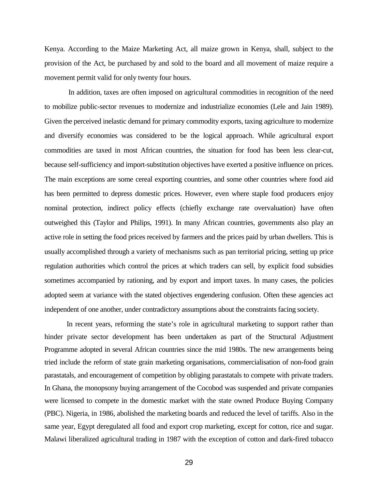Kenya. According to the Maize Marketing Act, all maize grown in Kenya, shall, subject to the provision of the Act, be purchased by and sold to the board and all movement of maize require a movement permit valid for only twenty four hours.

 In addition, taxes are often imposed on agricultural commodities in recognition of the need to mobilize public-sector revenues to modernize and industrialize economies (Lele and Jain 1989). Given the perceived inelastic demand for primary commodity exports, taxing agriculture to modernize and diversify economies was considered to be the logical approach. While agricultural export commodities are taxed in most African countries, the situation for food has been less clear-cut, because self-sufficiency and import-substitution objectives have exerted a positive influence on prices. The main exceptions are some cereal exporting countries, and some other countries where food aid has been permitted to depress domestic prices. However, even where staple food producers enjoy nominal protection, indirect policy effects (chiefly exchange rate overvaluation) have often outweighed this (Taylor and Philips, 1991). In many African countries, governments also play an active role in setting the food prices received by farmers and the prices paid by urban dwellers. This is usually accomplished through a variety of mechanisms such as pan territorial pricing, setting up price regulation authorities which control the prices at which traders can sell, by explicit food subsidies sometimes accompanied by rationing, and by export and import taxes. In many cases, the policies adopted seem at variance with the stated objectives engendering confusion. Often these agencies act independent of one another, under contradictory assumptions about the constraints facing society.

In recent years, reforming the state's role in agricultural marketing to support rather than hinder private sector development has been undertaken as part of the Structural Adjustment Programme adopted in several African countries since the mid 1980s. The new arrangements being tried include the reform of state grain marketing organisations, commercialisation of non-food grain parastatals, and encouragement of competition by obliging parastatals to compete with private traders. In Ghana, the monopsony buying arrangement of the Cocobod was suspended and private companies were licensed to compete in the domestic market with the state owned Produce Buying Company (PBC). Nigeria, in 1986, abolished the marketing boards and reduced the level of tariffs. Also in the same year, Egypt deregulated all food and export crop marketing, except for cotton, rice and sugar. Malawi liberalized agricultural trading in 1987 with the exception of cotton and dark-fired tobacco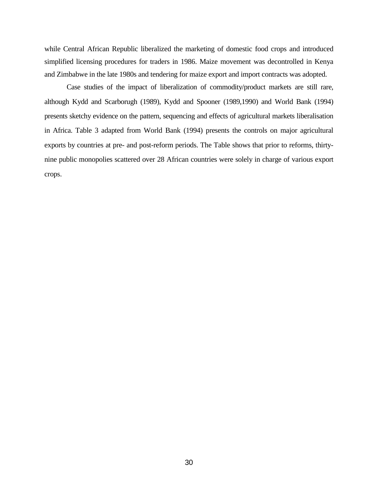while Central African Republic liberalized the marketing of domestic food crops and introduced simplified licensing procedures for traders in 1986. Maize movement was decontrolled in Kenya and Zimbabwe in the late 1980s and tendering for maize export and import contracts was adopted.

Case studies of the impact of liberalization of commodity/product markets are still rare, although Kydd and Scarborugh (1989), Kydd and Spooner (1989,1990) and World Bank (1994) presents sketchy evidence on the pattern, sequencing and effects of agricultural markets liberalisation in Africa. Table 3 adapted from World Bank (1994) presents the controls on major agricultural exports by countries at pre- and post-reform periods. The Table shows that prior to reforms, thirtynine public monopolies scattered over 28 African countries were solely in charge of various export crops.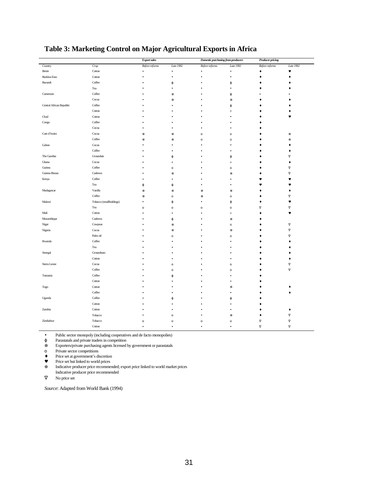|                          |                         | <b>Export sales</b> |              | Domestic purchasing from producers |              | <b>Producer pricing</b> |                      |  |
|--------------------------|-------------------------|---------------------|--------------|------------------------------------|--------------|-------------------------|----------------------|--|
| Country                  | Crop                    | Before reforms      | Late 1992    | Before reforms                     | Late 1992    | Before reforms          | Late 1992            |  |
| Benin                    | Cotton                  |                     | ٠            | ٠                                  | $\bullet$    | ۰                       | $\blacktriangledown$ |  |
| <b>Burkina Faso</b>      | Cotton                  |                     | ٠            |                                    | ٠            |                         | ٠                    |  |
| Burundi                  | Coffee                  |                     | φ            |                                    | $\phi$       |                         |                      |  |
|                          | Tea                     |                     | ٠            |                                    |              |                         |                      |  |
| Cameroon                 | Coffee                  |                     | $\otimes$    |                                    | $\phi$       |                         |                      |  |
|                          | Cocoa                   |                     | $\otimes$    |                                    | $\otimes$    |                         |                      |  |
| Central African Republic | Coffee                  |                     |              |                                    | φ            |                         |                      |  |
|                          | Cotton                  |                     |              |                                    |              |                         |                      |  |
| Chad                     | Cotton                  |                     |              |                                    |              |                         |                      |  |
| Congo                    | Coffee                  |                     |              |                                    |              |                         |                      |  |
|                          | Cocoa                   |                     |              |                                    |              |                         |                      |  |
| Cote d'Ivoire            | Cocoa                   | $\otimes$           | $\otimes$    | $\mathbf 0$                        | $\mathbf 0$  |                         | $\oplus$             |  |
|                          | Coffee                  | $^{\circ}$          | $^{\circ}$   | $\circ$                            | $\circ$      |                         | $\oplus$             |  |
| Gabon                    | Cocoa                   |                     |              |                                    |              |                         |                      |  |
|                          | Coffee                  |                     |              |                                    |              |                         |                      |  |
| The Gambia               | Grounduts               |                     | φ            |                                    | $\phi$       |                         | $\nabla$             |  |
| Ghana                    | Cocoa                   |                     |              |                                    |              |                         |                      |  |
| Guinea                   | Coffee                  |                     | $\circ$      |                                    | $\mathbf{o}$ |                         | $\overline{\nabla}$  |  |
| Guinea-Bissau            | Cashews                 |                     | $\otimes$    |                                    | $\otimes$    |                         | $\nabla$             |  |
| Kenya                    | Coffee                  |                     |              |                                    |              |                         |                      |  |
|                          | Tea                     | φ                   | φ            |                                    |              |                         |                      |  |
| Madagascar               | Vanilla                 | $\otimes$           | $\otimes$    | $\otimes$                          | $\otimes$    |                         |                      |  |
|                          | Coffee                  | $\otimes$           | $\mathbf{o}$ | $\otimes$                          | $\rm _O$     |                         | $\nabla$             |  |
| Malawi                   | Tobacco (smallholdings) |                     | φ            |                                    | $\phi$       |                         |                      |  |
|                          | Tea                     | $\circ$             | $\circ$      | $\circ$                            | $\mathbf{o}$ | $\nabla$                | $\nabla$             |  |
| Mali                     | Cotton                  |                     |              |                                    | ٠            |                         | $\bullet$            |  |
| Mozambique               | Cashews                 |                     | φ            |                                    | $\otimes$    |                         |                      |  |
| Niger                    | Cowpeas                 |                     | ⊗            |                                    | $\circ$      |                         | $\nabla$             |  |
| Nigeria                  | Cocoa                   |                     | $\otimes$    |                                    | $\otimes$    |                         | $\nabla$             |  |
|                          | Palm oil                |                     | $\mathbf{o}$ |                                    | $\mathbf 0$  |                         | $\nabla$             |  |
| Rwanda                   | Coffee                  |                     |              |                                    |              |                         |                      |  |
|                          | Tea                     |                     |              |                                    |              |                         |                      |  |
| Senegal                  | Groundnuts              |                     |              |                                    |              |                         |                      |  |
|                          | Cotton                  |                     |              |                                    |              |                         |                      |  |
| Sierra Leone             | Cocoa                   |                     | $\rm _O$     |                                    | $\mathbf 0$  |                         | $\nabla$             |  |
|                          | Coffee                  |                     | $\circ$      |                                    | $\circ$      |                         | $\nabla$             |  |
| Tanzania                 | Coffee                  |                     | $\omega$     |                                    |              |                         |                      |  |
|                          | Cotton                  |                     |              |                                    | ٠            |                         |                      |  |
| Togo                     | Cotton                  |                     |              |                                    | $\otimes$    |                         |                      |  |
|                          | Coffee                  |                     |              |                                    |              |                         |                      |  |
| Uganda                   | Coffee                  |                     | $\omega$     |                                    | φ            |                         |                      |  |
|                          | Cotton                  |                     |              |                                    |              |                         |                      |  |
| Zambia                   | Cotton                  |                     |              |                                    |              |                         |                      |  |
|                          | Tobacco                 |                     | $\circ$      |                                    | $\otimes$    |                         | $\nabla$             |  |
| Zimbabwe                 | Tobacco                 | $\Omega$            | $\Omega$     | $\circ$                            | $\mathbf{o}$ | $\nabla$                | $\nabla$             |  |
|                          | $\operatorname{Cotton}$ |                     |              |                                    |              | $\nabla$                | $\nabla$             |  |
|                          |                         |                     |              |                                    |              |                         |                      |  |

# **Table 3: Marketing Control on Major Agricultural Exports in Africa**

• Public sector monopoly (including cooperatives and de facto monopolies)

ϕ Parastatals and private traders in competition

⊗ Exporters/private purchasing agents licensed by government or parastatals

ο Private sector competitions

♦ Price set at government's discretion

♥ Price set but linked to world prices

⊕ Indicative producer price recommended; export price linked to world market prices Indicative producer price recommended

 $\nabla$  No price set

*Source*: Adapted from World Bank (1994)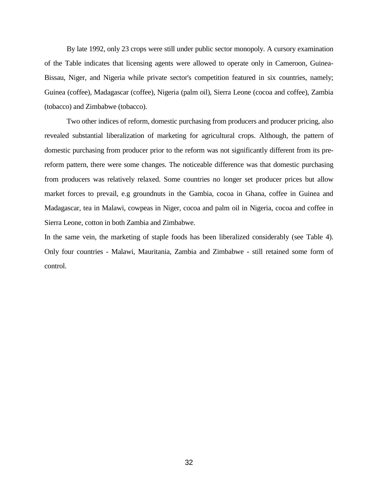By late 1992, only 23 crops were still under public sector monopoly. A cursory examination of the Table indicates that licensing agents were allowed to operate only in Cameroon, Guinea-Bissau, Niger, and Nigeria while private sector's competition featured in six countries, namely; Guinea (coffee), Madagascar (coffee), Nigeria (palm oil), Sierra Leone (cocoa and coffee), Zambia (tobacco) and Zimbabwe (tobacco).

Two other indices of reform, domestic purchasing from producers and producer pricing, also revealed substantial liberalization of marketing for agricultural crops. Although, the pattern of domestic purchasing from producer prior to the reform was not significantly different from its prereform pattern, there were some changes. The noticeable difference was that domestic purchasing from producers was relatively relaxed. Some countries no longer set producer prices but allow market forces to prevail, e.g groundnuts in the Gambia, cocoa in Ghana, coffee in Guinea and Madagascar, tea in Malawi, cowpeas in Niger, cocoa and palm oil in Nigeria, cocoa and coffee in Sierra Leone, cotton in both Zambia and Zimbabwe.

In the same vein, the marketing of staple foods has been liberalized considerably (see Table 4). Only four countries - Malawi, Mauritania, Zambia and Zimbabwe - still retained some form of control.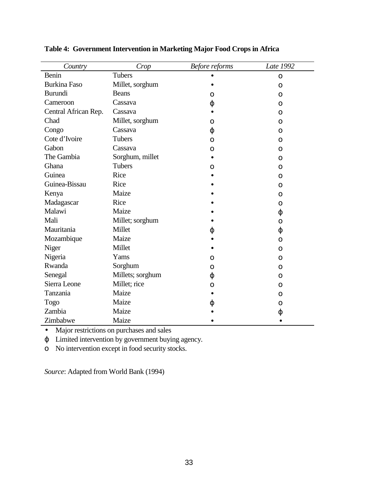| Country              | Crop             | Before reforms | Late 1992    |
|----------------------|------------------|----------------|--------------|
| Benin                | Tubers           |                | $\mathbf{O}$ |
| <b>Burkina Faso</b>  | Millet, sorghum  |                | $\Omega$     |
| <b>Burundi</b>       | <b>Beans</b>     | $\Omega$       | $\Omega$     |
| Cameroon             | Cassava          | $\varphi$      | $\Omega$     |
| Central African Rep. | Cassava          |                | $\Omega$     |
| Chad                 | Millet, sorghum  | $\Omega$       | $\Omega$     |
| Congo                | Cassava          | $\varphi$      | $\mathbf{O}$ |
| Cote d'Ivoire        | <b>Tubers</b>    | $\mathbf O$    | 0            |
| Gabon                | Cassava          | 0              | $\Omega$     |
| The Gambia           | Sorghum, millet  |                | $\Omega$     |
| Ghana                | Tubers           | $\mathbf{O}$   | $\mathbf{O}$ |
| Guinea               | Rice             |                | $\Omega$     |
| Guinea-Bissau        | Rice             |                | $\Omega$     |
| Kenya                | Maize            |                | $\Omega$     |
| Madagascar           | Rice             |                | $\Omega$     |
| Malawi               | Maize            |                | φ            |
| Mali                 | Millet; sorghum  |                | $\Omega$     |
| Mauritania           | Millet           | φ              | φ            |
| Mozambique           | Maize            |                | $\Omega$     |
| Niger                | Millet           |                | $\Omega$     |
| Nigeria              | Yams             | $\mathbf O$    | $\Omega$     |
| Rwanda               | Sorghum          | $\Omega$       | $\Omega$     |
| Senegal              | Millets; sorghum | $\varphi$      | $\Omega$     |
| Sierra Leone         | Millet; rice     | $\mathbf O$    | $\Omega$     |
| Tanzania             | Maize            |                | 0            |
| Togo                 | Maize            | φ              | $\Omega$     |
| Zambia               | Maize            |                | $\varphi$    |
| Zimbabwe             | Maize            |                |              |

**Table 4: Government Intervention in Marketing Major Food Crops in Africa**

• Major restrictions on purchases and sales

ϕ Limited intervention by government buying agency.

ο No intervention except in food security stocks.

*Source*: Adapted from World Bank (1994)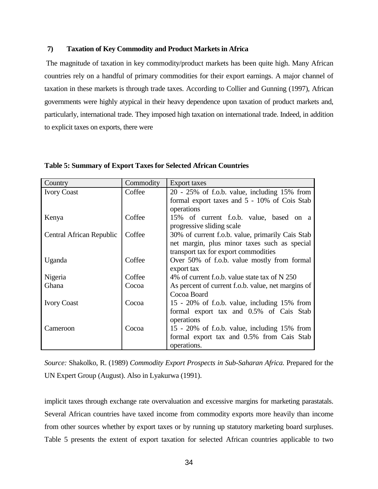## **7) Taxation of Key Commodity and Product Markets in Africa**

The magnitude of taxation in key commodity/product markets has been quite high. Many African countries rely on a handful of primary commodities for their export earnings. A major channel of taxation in these markets is through trade taxes. According to Collier and Gunning (1997), African governments were highly atypical in their heavy dependence upon taxation of product markets and, particularly, international trade. They imposed high taxation on international trade. Indeed, in addition to explicit taxes on exports, there were

| Country                  | Commodity | Export taxes                                       |
|--------------------------|-----------|----------------------------------------------------|
| <b>Ivory Coast</b>       | Coffee    | $20 - 25\%$ of f.o.b. value, including 15% from    |
|                          |           | formal export taxes and 5 - 10% of Cois Stab       |
|                          |           | operations                                         |
| Kenya                    | Coffee    | 15% of current f.o.b. value, based on a            |
|                          |           | progressive sliding scale                          |
| Central African Republic | Coffee    | 30% of current f.o.b. value, primarily Cais Stab   |
|                          |           | net margin, plus minor taxes such as special       |
|                          |           | transport tax for export commodities               |
| Uganda                   | Coffee    | Over 50% of f.o.b. value mostly from formal        |
|                          |           | export tax                                         |
| Nigeria                  | Coffee    | 4% of current f.o.b. value state tax of N 250      |
| Ghana                    | Cocoa     | As percent of current f.o.b. value, net margins of |
|                          |           | Cocoa Board                                        |
| <b>Ivory Coast</b>       | Cocoa     | 15 - 20% of f.o.b. value, including 15% from       |
|                          |           | formal export tax and 0.5% of Cais Stab            |
|                          |           | operations                                         |
| Cameroon                 | Cocoa     | 15 - 20% of f.o.b. value, including 15% from       |
|                          |           | formal export tax and 0.5% from Cais Stab          |
|                          |           | operations.                                        |

# **Table 5: Summary of Export Taxes for Selected African Countries**

*Source:* Shakolko, R. (1989) *Commodity Export Prospects in Sub-Saharan Africa.* Prepared for the UN Expert Group (August). Also in Lyakurwa (1991).

implicit taxes through exchange rate overvaluation and excessive margins for marketing parastatals. Several African countries have taxed income from commodity exports more heavily than income from other sources whether by export taxes or by running up statutory marketing board surpluses. Table 5 presents the extent of export taxation for selected African countries applicable to two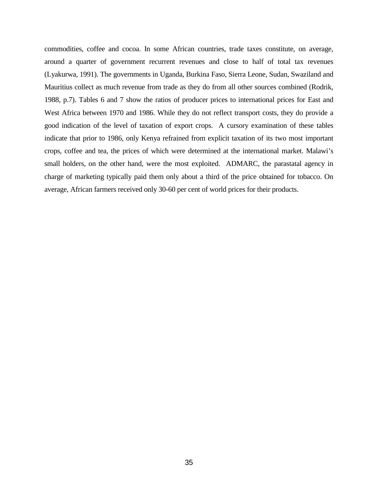commodities, coffee and cocoa. In some African countries, trade taxes constitute, on average, around a quarter of government recurrent revenues and close to half of total tax revenues (Lyakurwa, 1991). The governments in Uganda, Burkina Faso, Sierra Leone, Sudan, Swaziland and Mauritius collect as much revenue from trade as they do from all other sources combined (Rodrik, 1988, p.7). Tables 6 and 7 show the ratios of producer prices to international prices for East and West Africa between 1970 and 1986. While they do not reflect transport costs, they do provide a good indication of the level of taxation of export crops. A cursory examination of these tables indicate that prior to 1986, only Kenya refrained from explicit taxation of its two most important crops, coffee and tea, the prices of which were determined at the international market. Malawi's small holders, on the other hand, were the most exploited. ADMARC, the parastatal agency in charge of marketing typically paid them only about a third of the price obtained for tobacco. On average, African farmers received only 30-60 per cent of world prices for their products.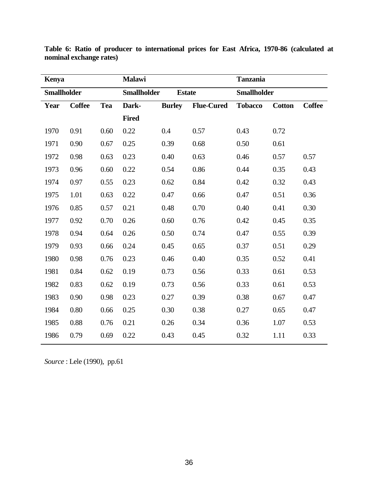| <b>Kenya</b>       |               |            | <b>Malawi</b>      |               |                   | <b>Tanzania</b>    |               |               |  |
|--------------------|---------------|------------|--------------------|---------------|-------------------|--------------------|---------------|---------------|--|
| <b>Smallholder</b> |               |            | <b>Smallholder</b> | <b>Estate</b> |                   | <b>Smallholder</b> |               |               |  |
| Year               | <b>Coffee</b> | <b>Tea</b> | Dark-              | <b>Burley</b> | <b>Flue-Cured</b> | <b>Tobacco</b>     | <b>Cotton</b> | <b>Coffee</b> |  |
|                    |               |            | <b>Fired</b>       |               |                   |                    |               |               |  |
| 1970               | 0.91          | 0.60       | 0.22               | 0.4           | 0.57              | 0.43               | 0.72          |               |  |
| 1971               | 0.90          | 0.67       | 0.25               | 0.39          | 0.68              | 0.50               | 0.61          |               |  |
| 1972               | 0.98          | 0.63       | 0.23               | 0.40          | 0.63              | 0.46               | 0.57          | 0.57          |  |
| 1973               | 0.96          | 0.60       | 0.22               | 0.54          | 0.86              | 0.44               | 0.35          | 0.43          |  |
| 1974               | 0.97          | 0.55       | 0.23               | 0.62          | 0.84              | 0.42               | 0.32          | 0.43          |  |
| 1975               | 1.01          | 0.63       | 0.22               | 0.47          | 0.66              | 0.47               | 0.51          | 0.36          |  |
| 1976               | 0.85          | 0.57       | 0.21               | 0.48          | 0.70              | 0.40               | 0.41          | 0.30          |  |
| 1977               | 0.92          | 0.70       | 0.26               | 0.60          | 0.76              | 0.42               | 0.45          | 0.35          |  |
| 1978               | 0.94          | 0.64       | 0.26               | 0.50          | 0.74              | 0.47               | 0.55          | 0.39          |  |
| 1979               | 0.93          | 0.66       | 0.24               | 0.45          | 0.65              | 0.37               | 0.51          | 0.29          |  |
| 1980               | 0.98          | 0.76       | 0.23               | 0.46          | 0.40              | 0.35               | 0.52          | 0.41          |  |
| 1981               | 0.84          | 0.62       | 0.19               | 0.73          | 0.56              | 0.33               | 0.61          | 0.53          |  |
| 1982               | 0.83          | 0.62       | 0.19               | 0.73          | 0.56              | 0.33               | 0.61          | 0.53          |  |
| 1983               | 0.90          | 0.98       | 0.23               | 0.27          | 0.39              | 0.38               | 0.67          | 0.47          |  |
| 1984               | 0.80          | 0.66       | 0.25               | 0.30          | 0.38              | 0.27               | 0.65          | 0.47          |  |
| 1985               | 0.88          | 0.76       | 0.21               | 0.26          | 0.34              | 0.36               | 1.07          | 0.53          |  |
| 1986               | 0.79          | 0.69       | 0.22               | 0.43          | 0.45              | 0.32               | 1.11          | 0.33          |  |

**Table 6: Ratio of producer to international prices for East Africa, 1970-86 (calculated at nominal exchange rates)**

*Source* : Lele (1990), pp.61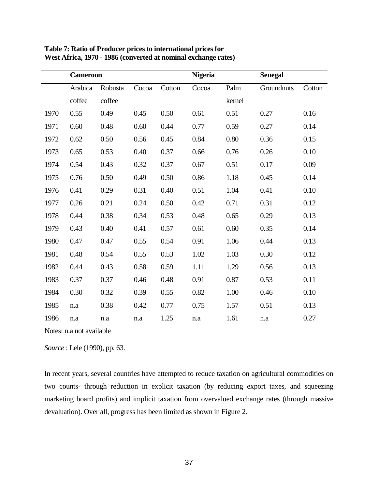|      | <b>Cameroon</b> |         |       |        | <b>Nigeria</b> |        | <b>Senegal</b> |        |
|------|-----------------|---------|-------|--------|----------------|--------|----------------|--------|
|      | Arabica         | Robusta | Cocoa | Cotton | Cocoa          | Palm   | Groundnuts     | Cotton |
|      | coffee          | coffee  |       |        |                | kernel |                |        |
| 1970 | 0.55            | 0.49    | 0.45  | 0.50   | 0.61           | 0.51   | 0.27           | 0.16   |
| 1971 | 0.60            | 0.48    | 0.60  | 0.44   | 0.77           | 0.59   | 0.27           | 0.14   |
| 1972 | 0.62            | 0.50    | 0.56  | 0.45   | 0.84           | 0.80   | 0.36           | 0.15   |
| 1973 | 0.65            | 0.53    | 0.40  | 0.37   | 0.66           | 0.76   | 0.26           | 0.10   |
| 1974 | 0.54            | 0.43    | 0.32  | 0.37   | 0.67           | 0.51   | 0.17           | 0.09   |
| 1975 | 0.76            | 0.50    | 0.49  | 0.50   | 0.86           | 1.18   | 0.45           | 0.14   |
| 1976 | 0.41            | 0.29    | 0.31  | 0.40   | 0.51           | 1.04   | 0.41           | 0.10   |
| 1977 | 0.26            | 0.21    | 0.24  | 0.50   | 0.42           | 0.71   | 0.31           | 0.12   |
| 1978 | 0.44            | 0.38    | 0.34  | 0.53   | 0.48           | 0.65   | 0.29           | 0.13   |
| 1979 | 0.43            | 0.40    | 0.41  | 0.57   | 0.61           | 0.60   | 0.35           | 0.14   |
| 1980 | 0.47            | 0.47    | 0.55  | 0.54   | 0.91           | 1.06   | 0.44           | 0.13   |
| 1981 | 0.48            | 0.54    | 0.55  | 0.53   | 1.02           | 1.03   | 0.30           | 0.12   |
| 1982 | 0.44            | 0.43    | 0.58  | 0.59   | 1.11           | 1.29   | 0.56           | 0.13   |
| 1983 | 0.37            | 0.37    | 0.46  | 0.48   | 0.91           | 0.87   | 0.53           | 0.11   |
| 1984 | 0.30            | 0.32    | 0.39  | 0.55   | 0.82           | 1.00   | 0.46           | 0.10   |
| 1985 | n.a             | 0.38    | 0.42  | 0.77   | 0.75           | 1.57   | 0.51           | 0.13   |
| 1986 | n.a             | n.a     | n.a   | 1.25   | n.a            | 1.61   | n.a            | 0.27   |

**Table 7: Ratio of Producer prices to international prices for West Africa, 1970 - 1986 (converted at nominal exchange rates)**

Notes: n.a not available

*Source* : Lele (1990), pp. 63.

In recent years, several countries have attempted to reduce taxation on agricultural commodities on two counts- through reduction in explicit taxation (by reducing export taxes, and squeezing marketing board profits) and implicit taxation from overvalued exchange rates (through massive devaluation). Over all, progress has been limited as shown in Figure 2.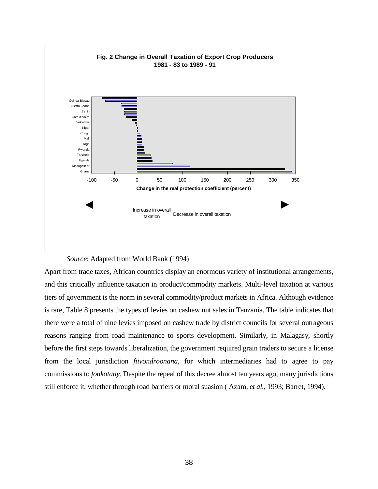

*Source*: Adapted from World Bank (1994)

Apart from trade taxes, African countries display an enormous variety of institutional arrangements, and this critically influence taxation in product/commodity markets. Multi-level taxation at various tiers of government is the norm in several commodity/product markets in Africa. Although evidence is rare, Table 8 presents the types of levies on cashew nut sales in Tanzania. The table indicates that there were a total of nine levies imposed on cashew trade by district councils for several outrageous reasons ranging from road maintenance to sports development. Similarly, in Malagasy, shortly before the first steps towards liberalization, the government required grain traders to secure a license from the local jurisdiction *fiivondroonana,* for which intermediaries had to agree to pay commissions to *fonkotany.* Despite the repeal of this decree almost ten years ago, many jurisdictions still enforce it, whether through road barriers or moral suasion ( Azam, *et al.*, 1993; Barret, 1994).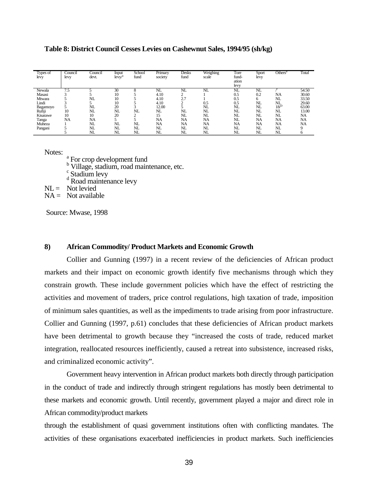| Types of<br>levy | Council<br>levy | Council<br>devt. | Input<br>levy/ | School<br>fund | Primary<br>society | Desks<br>fund   | Weighing<br>scale | Tore<br>fund-<br>ation<br>levy | Sport<br>levy  | Others <sup>t</sup> | Total     |
|------------------|-----------------|------------------|----------------|----------------|--------------------|-----------------|-------------------|--------------------------------|----------------|---------------------|-----------|
| Newala           | 7.5             |                  | 30             |                | NL                 | NL              | NL                | NL                             | N <sub>L</sub> |                     | 54.50     |
| Masasi           | ⌒               |                  | 10             |                | 4.10               |                 |                   | 0.5                            | 0.2            | NA                  | 30.60     |
| Mtwara           |                 | NL               | 10             |                | 4.10               | $\Omega$<br>Z., |                   | 0.5                            | 6              | NL                  | 33.50     |
| Lindi            |                 |                  | 10             |                | 4.10               | $\sim$          | 0.5               | 0.5                            | NL             | NL                  | 29.60     |
| Bagamoyo         |                 | NL               | 20             | ∽              | 12.00              |                 | NL                | NL                             | NL             | $18^{D}$            | 63.00     |
| Rufiji           | 10              | NL               | NL             | NL             | NL                 | NL              | NL                | NL                             | NL             | NL                  | 13.00     |
| Kisarawe         | 10              | 10               | 20             | ◠              | 15                 | NL              | NL                | NL                             | NL             | NL                  | NA        |
| Tanga            | NA              | NA               |                |                | <b>NA</b>          | <b>NA</b>       | <b>NA</b>         | NL                             | <b>NA</b>      | NA                  | NA        |
| Muheza           |                 | NL               | NL             | NL             | NA                 | NA              | <b>NA</b>         | <b>NA</b>                      | NA             | NA                  | <b>NA</b> |
| Pangani          |                 | NL               | NL             | NL             | NL                 | NL              | NL                | NL                             | NL             | NL                  |           |
|                  |                 | NL               | NL             | NL             | NL                 | NL              | NL                | NL                             | NL             | NL                  |           |

**Table 8: District Council Cesses Levies on Cashewnut Sales, 1994/95 (sh/kg)**

Notes:

<sup>a</sup> For crop development fund<br><sup>b</sup> Village, stadium, road maintenance, etc.<br>c Stadium levy<br><sup>d</sup> Road maintenance levy

 $NL =$  Not levied

 $NA =$  Not available

Source: Mwase, 1998

#### **8) African Commodity/ Product Markets and Economic Growth**

Collier and Gunning (1997) in a recent review of the deficiencies of African product markets and their impact on economic growth identify five mechanisms through which they constrain growth. These include government policies which have the effect of restricting the activities and movement of traders, price control regulations, high taxation of trade, imposition of minimum sales quantities, as well as the impediments to trade arising from poor infrastructure. Collier and Gunning (1997, p.61) concludes that these deficiencies of African product markets have been detrimental to growth because they "increased the costs of trade, reduced market integration, reallocated resources inefficiently, caused a retreat into subsistence, increased risks, and criminalized economic activity".

Government heavy intervention in African product markets both directly through participation in the conduct of trade and indirectly through stringent regulations has mostly been detrimental to these markets and economic growth. Until recently, government played a major and direct role in African commodity/product markets

through the establishment of quasi government institutions often with conflicting mandates. The activities of these organisations exacerbated inefficiencies in product markets. Such inefficiencies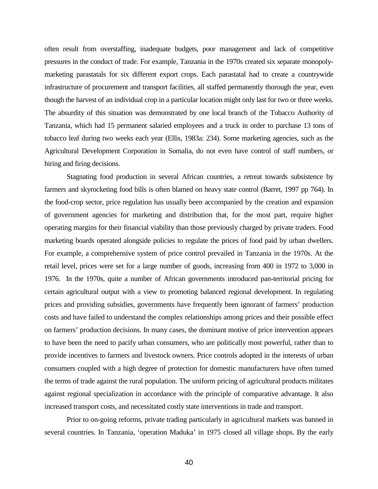often result from overstaffing, inadequate budgets, poor management and lack of competitive pressures in the conduct of trade. For example, Tanzania in the 1970s created six separate monopolymarketing parastatals for six different export crops. Each parastatal had to create a countrywide infrastructure of procurement and transport facilities, all staffed permanently thorough the year, even though the harvest of an individual crop in a particular location might only last for two or three weeks. The absurdity of this situation was demonstrated by one local branch of the Tobacco Authority of Tanzania, which had 15 permanent salaried employees and a truck in order to purchase 13 tons of tobacco leaf during two weeks each year (Ellis, 1983a: 234). Some marketing agencies, such as the Agricultural Development Corporation in Somalia, do not even have control of staff numbers, or hiring and firing decisions.

Stagnating food production in several African countries, a retreat towards subsistence by farmers and skyrocketing food bills is often blamed on heavy state control (Barret, 1997 pp 764). In the food-crop sector, price regulation has usually been accompanied by the creation and expansion of government agencies for marketing and distribution that, for the most part, require higher operating margins for their financial viability than those previously charged by private traders. Food marketing boards operated alongside policies to regulate the prices of food paid by urban dwellers. For example, a comprehensive system of price control prevailed in Tanzania in the 1970s. At the retail level, prices were set for a large number of goods, increasing from 400 in 1972 to 3,000 in 1976. In the 1970s, quite a number of African governments introduced pan-territorial pricing for certain agricultural output with a view to promoting balanced regional development. In regulating prices and providing subsidies, governments have frequently been ignorant of farmers' production costs and have failed to understand the complex relationships among prices and their possible effect on farmers' production decisions. In many cases, the dominant motive of price intervention appears to have been the need to pacify urban consumers, who are politically most powerful, rather than to provide incentives to farmers and livestock owners. Price controls adopted in the interests of urban consumers coupled with a high degree of protection for domestic manufacturers have often turned the terms of trade against the rural population. The uniform pricing of agricultural products militates against regional specialization in accordance with the principle of comparative advantage. It also increased transport costs, and necessitated costly state interventions in trade and transport.

Prior to on-going reforms, private trading particularly in agricultural markets was banned in several countries. In Tanzania, 'operation Maduka' in 1975 closed all village shops. By the early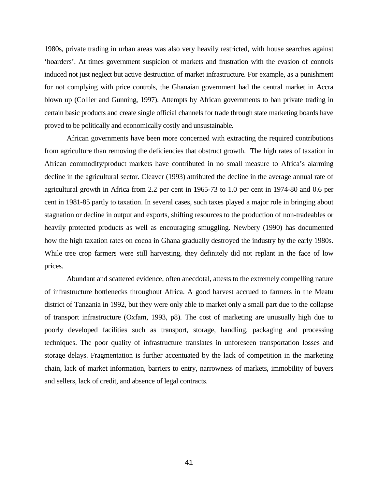1980s, private trading in urban areas was also very heavily restricted, with house searches against 'hoarders'. At times government suspicion of markets and frustration with the evasion of controls induced not just neglect but active destruction of market infrastructure. For example, as a punishment for not complying with price controls, the Ghanaian government had the central market in Accra blown up (Collier and Gunning, 1997). Attempts by African governments to ban private trading in certain basic products and create single official channels for trade through state marketing boards have proved to be politically and economically costly and unsustainable.

African governments have been more concerned with extracting the required contributions from agriculture than removing the deficiencies that obstruct growth. The high rates of taxation in African commodity/product markets have contributed in no small measure to Africa's alarming decline in the agricultural sector. Cleaver (1993) attributed the decline in the average annual rate of agricultural growth in Africa from 2.2 per cent in 1965-73 to 1.0 per cent in 1974-80 and 0.6 per cent in 1981-85 partly to taxation. In several cases, such taxes played a major role in bringing about stagnation or decline in output and exports, shifting resources to the production of non-tradeables or heavily protected products as well as encouraging smuggling. Newbery (1990) has documented how the high taxation rates on cocoa in Ghana gradually destroyed the industry by the early 1980s. While tree crop farmers were still harvesting, they definitely did not replant in the face of low prices.

Abundant and scattered evidence, often anecdotal, attests to the extremely compelling nature of infrastructure bottlenecks throughout Africa. A good harvest accrued to farmers in the Meatu district of Tanzania in 1992, but they were only able to market only a small part due to the collapse of transport infrastructure (Oxfam, 1993, p8). The cost of marketing are unusually high due to poorly developed facilities such as transport, storage, handling, packaging and processing techniques. The poor quality of infrastructure translates in unforeseen transportation losses and storage delays. Fragmentation is further accentuated by the lack of competition in the marketing chain, lack of market information, barriers to entry, narrowness of markets, immobility of buyers and sellers, lack of credit, and absence of legal contracts.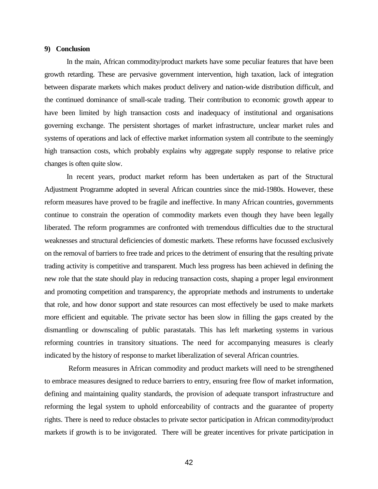#### **9) Conclusion**

In the main, African commodity/product markets have some peculiar features that have been growth retarding. These are pervasive government intervention, high taxation, lack of integration between disparate markets which makes product delivery and nation-wide distribution difficult, and the continued dominance of small-scale trading. Their contribution to economic growth appear to have been limited by high transaction costs and inadequacy of institutional and organisations governing exchange. The persistent shortages of market infrastructure, unclear market rules and systems of operations and lack of effective market information system all contribute to the seemingly high transaction costs, which probably explains why aggregate supply response to relative price changes is often quite slow.

In recent years, product market reform has been undertaken as part of the Structural Adjustment Programme adopted in several African countries since the mid-1980s. However, these reform measures have proved to be fragile and ineffective. In many African countries, governments continue to constrain the operation of commodity markets even though they have been legally liberated. The reform programmes are confronted with tremendous difficulties due to the structural weaknesses and structural deficiencies of domestic markets. These reforms have focussed exclusively on the removal of barriers to free trade and prices to the detriment of ensuring that the resulting private trading activity is competitive and transparent. Much less progress has been achieved in defining the new role that the state should play in reducing transaction costs, shaping a proper legal environment and promoting competition and transparency, the appropriate methods and instruments to undertake that role, and how donor support and state resources can most effectively be used to make markets more efficient and equitable. The private sector has been slow in filling the gaps created by the dismantling or downscaling of public parastatals. This has left marketing systems in various reforming countries in transitory situations. The need for accompanying measures is clearly indicated by the history of response to market liberalization of several African countries.

 Reform measures in African commodity and product markets will need to be strengthened to embrace measures designed to reduce barriers to entry, ensuring free flow of market information, defining and maintaining quality standards, the provision of adequate transport infrastructure and reforming the legal system to uphold enforceability of contracts and the guarantee of property rights. There is need to reduce obstacles to private sector participation in African commodity/product markets if growth is to be invigorated. There will be greater incentives for private participation in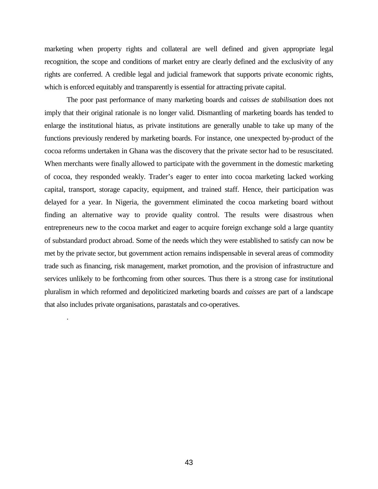marketing when property rights and collateral are well defined and given appropriate legal recognition, the scope and conditions of market entry are clearly defined and the exclusivity of any rights are conferred. A credible legal and judicial framework that supports private economic rights, which is enforced equitably and transparently is essential for attracting private capital.

The poor past performance of many marketing boards and *caisses de stabilisation* does not imply that their original rationale is no longer valid. Dismantling of marketing boards has tended to enlarge the institutional hiatus, as private institutions are generally unable to take up many of the functions previously rendered by marketing boards. For instance, one unexpected by-product of the cocoa reforms undertaken in Ghana was the discovery that the private sector had to be resuscitated. When merchants were finally allowed to participate with the government in the domestic marketing of cocoa, they responded weakly. Trader's eager to enter into cocoa marketing lacked working capital, transport, storage capacity, equipment, and trained staff. Hence, their participation was delayed for a year. In Nigeria, the government eliminated the cocoa marketing board without finding an alternative way to provide quality control. The results were disastrous when entrepreneurs new to the cocoa market and eager to acquire foreign exchange sold a large quantity of substandard product abroad. Some of the needs which they were established to satisfy can now be met by the private sector, but government action remains indispensable in several areas of commodity trade such as financing, risk management, market promotion, and the provision of infrastructure and services unlikely to be forthcoming from other sources. Thus there is a strong case for institutional pluralism in which reformed and depoliticized marketing boards and *caisses* are part of a landscape that also includes private organisations, parastatals and co-operatives.

.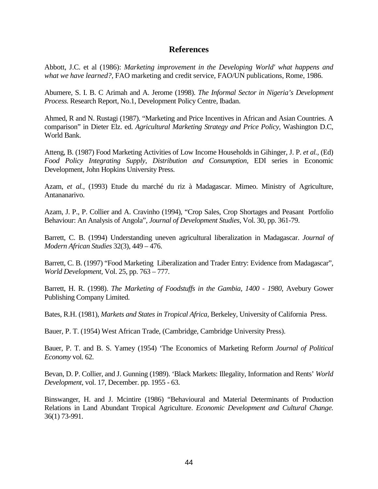# **References**

Abbott, J.C. et al (1986): *Marketing improvement in the Developing World' what happens and what we have learned?*, FAO marketing and credit service, FAO/UN publications, Rome, 1986.

Abumere, S. I. B. C Arimah and A. Jerome (1998). *The Informal Sector in Nigeria's Development Process.* Research Report, No.1, Development Policy Centre, Ibadan.

Ahmed, R and N. Rustagi (1987). "Marketing and Price Incentives in African and Asian Countries. A comparison" in Dieter Elz. ed. *Agricultural Marketing Strategy and Price Policy,* Washington D.C, World Bank.

Atteng, B. (1987) Food Marketing Activities of Low Income Households in Gihinger, J. P. *et al.,* (Ed) *Food Policy Integrating Supply, Distribution and Consumption,* EDI series in Economic Development, John Hopkins University Press.

Azam, *et al.,* (1993) Etude du marché du riz à Madagascar. Mimeo. Ministry of Agriculture, Antananarivo.

Azam, J. P., P. Collier and A. Cravinho (1994), "Crop Sales, Crop Shortages and Peasant Portfolio Behaviour: An Analysis of Angola", *Journal of Development Studies,* Vol. 30, pp. 361-79.

Barrett, C. B. (1994) Understanding uneven agricultural liberalization in Madagascar. *Journal of Modern African Studies* 32(3), 449 – 476.

Barrett, C. B. (1997) "Food Marketing Liberalization and Trader Entry: Evidence from Madagascar", *World Development,* Vol. 25, pp. 763 – 777.

Barrett, H. R. (1998). *The Marketing of Foodstuffs in the Gambia, 1400 - 1980,* Avebury Gower Publishing Company Limited.

Bates, R.H. (1981), *Markets and States in Tropical Africa,* Berkeley, University of California Press.

Bauer, P. T. (1954) West African Trade, (Cambridge, Cambridge University Press).

Bauer, P. T. and B. S. Yamey (1954) 'The Economics of Marketing Reform *Journal of Political Economy* vol. 62.

Bevan, D. P. Collier, and J. Gunning (1989). 'Black Markets: Illegality, Information and Rents' *World Development,* vol. 17, December. pp. 1955 - 63.

Binswanger, H. and J. Mcintire (1986) "Behavioural and Material Determinants of Production Relations in Land Abundant Tropical Agriculture. *Economic Development and Cultural Change.* 36(1) 73-991.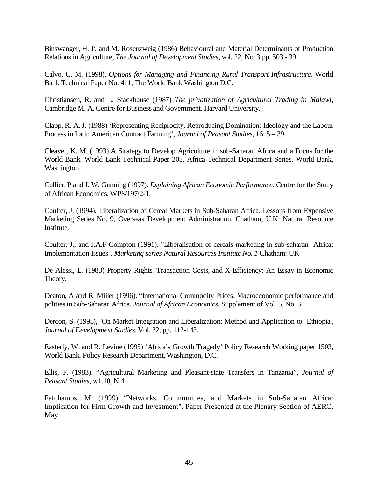Binswanger, H. P. and M. Rosenzweig (1986) Behavioural and Material Determinants of Production Relations in Agriculture, *The Journal of Development Studies,* vol. 22, No. 3 pp. 503 - 39.

Calvo, C. M. (1998). *Options for Managing and Financing Rural Transport Infrastructure.* World Bank Technical Paper No. 411, The World Bank Washington D.C.

Christiansen, R. and L. Stackhouse (1987) *The privatization of Agricultural Trading in Malawi,* Cambridge M. A. Centre for Business and Government, Harvard University.

Clapp, R. A. J. (1988) 'Representing Reciprocity, Reproducing Domination: Ideology and the Labour Process in Latin American Contract Farming', *Journal of Peasant Studies,* 16: 5 – 39.

Cleaver, K. M. (1993) A Strategy to Develop Agriculture in sub-Saharan Africa and a Focus for the World Bank. World Bank Technical Paper 203, Africa Technical Department Series. World Bank, Washington.

Collier, P and J. W. Gunning (1997). *Explaining African Economic Performance.* Centre for the Study of African Economics. WPS/197/2-1.

Coulter, J. (1994). Liberalization of Cereal Markets in Sub-Saharan Africa. Lessons from Expensive Marketing Series No. 9, Overseas Development Administration, Chatham, U.K: Natural Resource Institute.

Coulter, J., and J.A.F Compton (1991). "Liberalisation of cereals marketing in sub-saharan Africa: Implementation Issues". *Marketing series Natural Resources Institute No. 1* Chatham: UK

De Alessi, L. (1983) Property Rights, Transaction Costs, and X-Efficiency: An Essay in Economic Theory.

Deaton, A and R. Miller (1996). "International Commodity Prices, Macroeconomic performance and polities in Sub-Saharan Africa. *Journal of African Economics,* Supplement of Vol. 5, No. 3.

Dercon, S. (1995), `On Market Integration and Liberalization: Method and Application to Ethiopia', *Journal of Development Studies*, Vol. 32, pp. 112-143.

Easterly, W. and R. Levine (1995) 'Africa's Growth Tragedy' Policy Research Working paper 1503, World Bank, Policy Research Department, Washington, D.C.

Ellis, F. (1983). "Agricultural Marketing and Pleasant-state Transfers in Tanzania", *Journal of Peasant Studies*, w1.10, N.4

Fafchamps, M. (1999) "Networks, Communities, and Markets in Sub-Saharan Africa: Implication for Firm Growth and Investment", Paper Presented at the Plenary Section of AERC, May.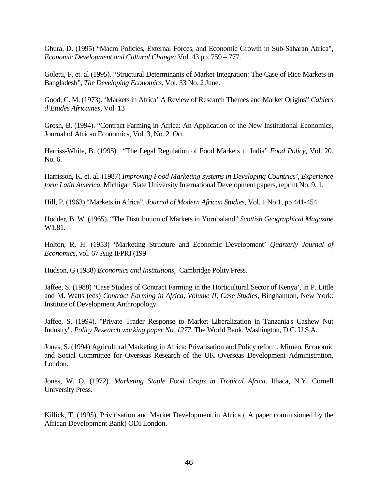Ghura, D. (1995) "Macro Policies, External Forces, and Economic Growth in Sub-Saharan Africa", *Economic Development and Cultural Change;* Vol. 43 pp. 759 – 777.

Goletti, F. et. al (1995). "Structural Determinants of Market Integration: The Case of Rice Markets in Bangladesh", *The Developing Economics,* Vol. 33 No. 2 June.

Good, C. M. (1973). 'Markets in Africa' A Review of Research Themes and Market Origins" *Cahiers d'Etudes Africaines,* Vol. 13

Grosh, B. (1994). "Contract Farming in Africa: An Application of the New Institutional Economics, Journal of African Economics, Vol. 3, No. 2. Oct.

Harriss-White, B. (1995). "The Legal Regulation of Food Markets in India" *Food Policy*, Vol. 20. No. 6.

Harrisson, K. et. al. (1987) *Improving Food Marketing systems in Developing Countries', Experience form Latin America.* Michigan State University International Development papers, reprint No. 9, 1.

Hill, P. (1963) "Markets in Africa", *Journal of Modern African Studies,* Vol. 1 No 1, pp 441-454.

Hodder, B. W. (1965). "The Distribution of Markets in Yorubaland" *Scottish Geographical Magazine* W1.81.

Holton, R. H. (1953) 'Marketing Structure and Economic Development' *Quarterly Journal of Economics,* vol. 67 Aug IFPRI (199

Hudson, G (1988) *Economics and Institutions,* Cambridge Polity Press.

Jaffee, S. (1988) 'Case Studies of Contract Farming in the Horticultural Sector of Kenya', in P. Little and M. Watts (eds) *Contract Farming in Africa, Volume II, Case Studies,* Binghamton, New York: Institute of Development Anthropology.

Jaffee, S. (1994), "Private Trader Response to Market Liberalization in Tanzania's Cashew Nut Industry". *Policy Research working paper No. 1277*. The World Bank. Washington, D.C. U.S.A.

Jones, S. (1994) Agricultural Marketing in Africa: Privatisation and Policy reform. Mimeo. Economic and Social Committee for Overseas Research of the UK Overseas Development Administration, London.

Jones, W. O. (1972). *Marketing Staple Food Crops in Tropical Africa*. Ithaca, N.Y. Cornell University Press.

Killick, T. (1995), Privitisation and Market Development in Africa ( A paper commisioned by the African Development Bank) ODI London.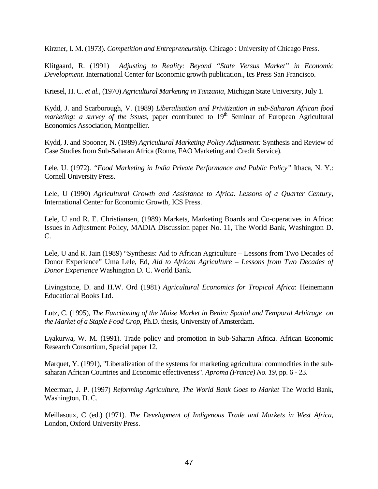Kirzner, I. M. (1973). *Competition and Entrepreneurship.* Chicago : University of Chicago Press.

Klitgaard, R. (1991) *Adjusting to Reality: Beyond "State Versus Market" in Economic Development.* International Center for Economic growth publication., Ics Press San Francisco.

Kriesel, H. C. *et al.,* (1970) *Agricultural Marketing in Tanzania,* Michigan State University, July 1.

Kydd, J. and Scarborough, V. (1989) *Liberalisation and Privitization in sub-Saharan African food marketing: a survey of the issues, paper contributed to 19<sup>th</sup> Seminar of European Agricultural* Economics Association, Montpellier.

Kydd, J. and Spooner, N. (1989) *Agricultural Marketing Policy Adjustment:* Synthesis and Review of Case Studies from Sub-Saharan Africa (Rome, FAO Marketing and Credit Service).

Lele, U. (1972). *"Food Marketing in India Private Performance and Public Policy"* Ithaca, N. Y.: Cornell University Press.

Lele, U (1990) *Agricultural Growth and Assistance to Africa. Lessons of a Quarter Century,* International Center for Economic Growth, ICS Press.

Lele, U and R. E. Christiansen, (1989) Markets, Marketing Boards and Co-operatives in Africa: Issues in Adjustment Policy, MADIA Discussion paper No. 11, The World Bank, Washington D. C.

Lele, U and R. Jain (1989) "Synthesis: Aid to African Agriculture – Lessons from Two Decades of Donor Experience" Uma Lele, Ed, *Aid to African Agriculture – Lessons from Two Decades of Donor Experience* Washington D. C. World Bank.

Livingstone, D. and H.W. Ord (1981) *Agricultural Economics for Tropical Africa*: Heinemann Educational Books Ltd.

Lutz, C. (1995), *The Functioning of the Maize Market in Benin: Spatial and Temporal Arbitrage on the Market of a Staple Food Crop,* Ph.D. thesis, University of Amsterdam.

Lyakurwa, W. M. (1991). Trade policy and promotion in Sub-Saharan Africa. African Economic Research Consortium, Special paper 12.

Marquet, Y. (1991), "Liberalization of the systems for marketing agricultural commodities in the subsaharan African Countries and Economic effectiveness". *Aproma (France) No. 19,* pp. 6 - 23.

Meerman, J. P. (1997) *Reforming Agriculture, The World Bank Goes to Market* The World Bank, Washington, D. C.

Meillasoux, C (ed.) (1971). *The Development of Indigenous Trade and Markets in West Africa,* London, Oxford University Press.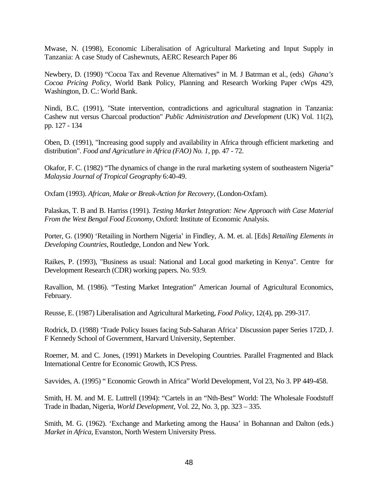Mwase, N. (1998), Economic Liberalisation of Agricultural Marketing and Input Supply in Tanzania: A case Study of Cashewnuts, AERC Research Paper 86

Newbery, D. (1990) "Cocoa Tax and Revenue Alternatives" in M. J Batrman et al., (eds) *Ghana's Cocoa Pricing Policy,* World Bank Policy, Planning and Research Working Paper cWps 429, Washington, D. C.: World Bank.

Nindi, B.C. (1991), "State intervention, contradictions and agricultural stagnation in Tanzania: Cashew nut versus Charcoal production" *Public Administration and Development* (UK) Vol. 11(2), pp. 127 - 134

Oben, D. (1991), "Increasing good supply and availability in Africa through efficient marketing and distribution". *Food and Agricutlure in Africa (FAO) No. 1*, pp. 47 - 72.

Okafor, F. C. (1982) "The dynamics of change in the rural marketing system of southeastern Nigeria" *Malaysia Journal of Tropical Geography* 6:40-49.

Oxfam (1993). *African, Make or Break-Action for Recovery,* (London-Oxfam).

Palaskas, T. B and B. Harriss (1991). *Testing Market Integration: New Approach with Case Material From the West Bengal Food Economy,* Oxford: Institute of Economic Analysis.

Porter, G. (1990) 'Retailing in Northern Nigeria' in Findley, A. M. et. al. [Eds] *Retailing Elements in Developing Countries*, Routledge, London and New York.

Raikes, P. (1993), "Business as usual: National and Local good marketing in Kenya". Centre for Development Research (CDR) working papers. No. 93:9.

Ravallion, M. (1986). "Testing Market Integration" American Journal of Agricultural Economics, February.

Reusse, E. (1987) Liberalisation and Agricultural Marketing, *Food Policy,* 12(4), pp. 299-317.

Rodrick, D. (1988) 'Trade Policy Issues facing Sub-Saharan Africa' Discussion paper Series 172D, J. F Kennedy School of Government, Harvard University, September.

Roemer, M. and C. Jones, (1991) Markets in Developing Countries. Parallel Fragmented and Black International Centre for Economic Growth, ICS Press.

Savvides, A. (1995) " Economic Growth in Africa" World Development, Vol 23, No 3. PP 449-458.

Smith, H. M. and M. E. Luttrell (1994): "Cartels in an "Nth-Best" World: The Wholesale Foodstuff Trade in Ibadan, Nigeria, *World Development,* Vol. 22, No. 3, pp. 323 – 335.

Smith, M. G. (1962). 'Exchange and Marketing among the Hausa' in Bohannan and Dalton (eds.) *Market in Africa*, Evanston, North Western University Press.